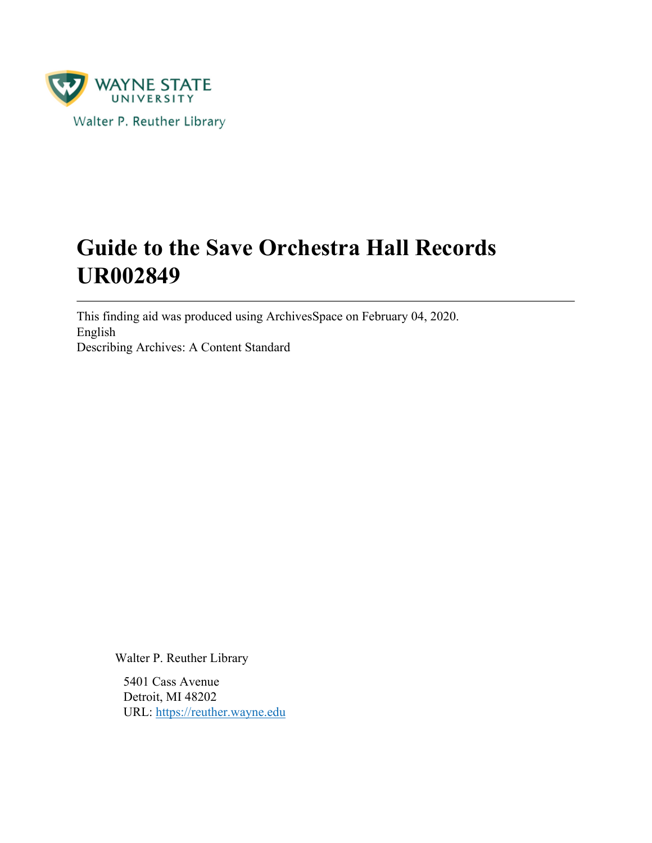

# **Guide to the Save Orchestra Hall Records UR002849**

This finding aid was produced using ArchivesSpace on February 04, 2020. English Describing Archives: A Content Standard

Walter P. Reuther Library

5401 Cass Avenue Detroit, MI 48202 URL:<https://reuther.wayne.edu>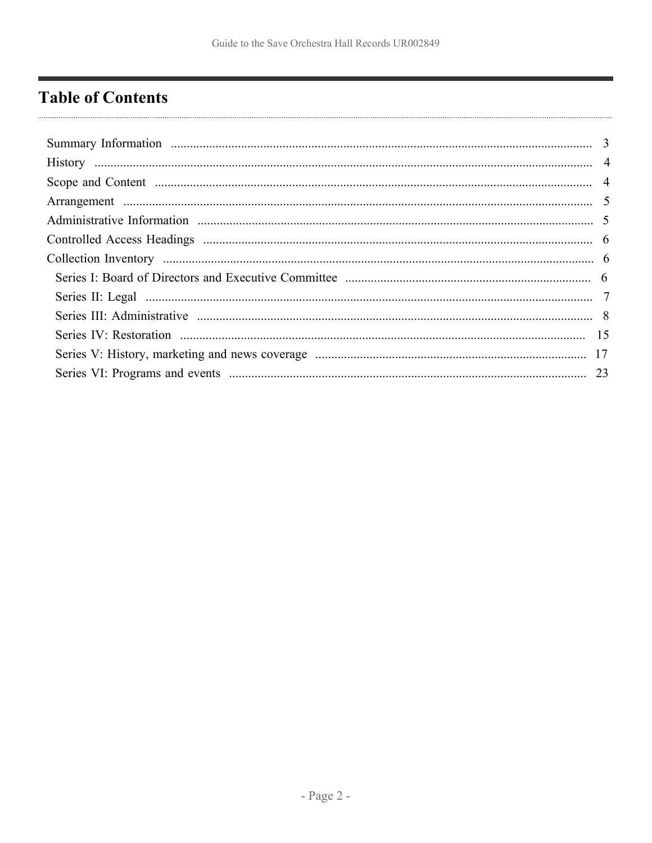## <span id="page-1-0"></span>**Table of Contents**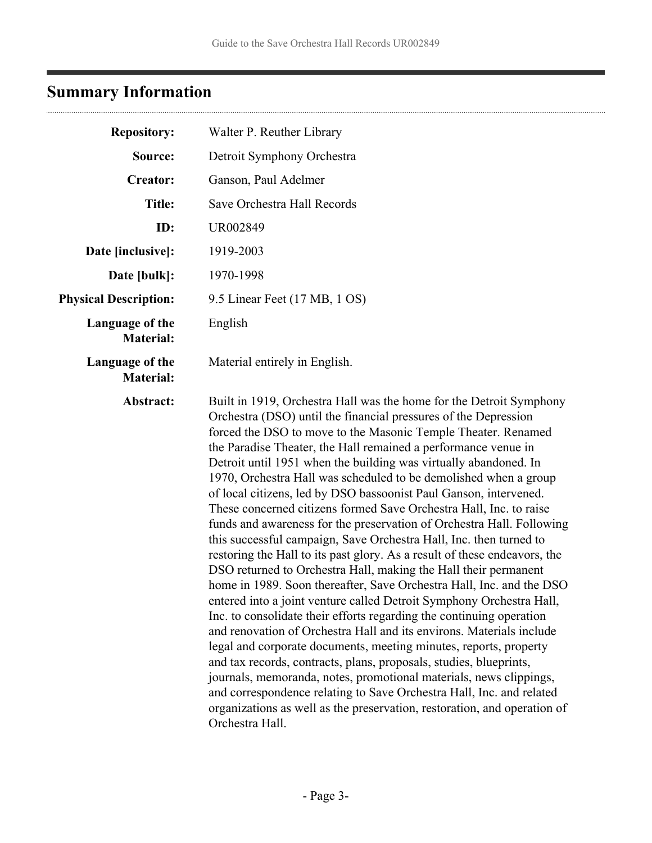# <span id="page-2-0"></span>**Summary Information**

| <b>Repository:</b>                  | Walter P. Reuther Library                                                                                                                                                                                                                                                                                                                                                                                                                                                                                                                                                                                                                                                                                                                                                                                                                                                                                                                                                                                                                                                                                                                                                                                                                                                                                                                                                                                                                                                                                                                           |
|-------------------------------------|-----------------------------------------------------------------------------------------------------------------------------------------------------------------------------------------------------------------------------------------------------------------------------------------------------------------------------------------------------------------------------------------------------------------------------------------------------------------------------------------------------------------------------------------------------------------------------------------------------------------------------------------------------------------------------------------------------------------------------------------------------------------------------------------------------------------------------------------------------------------------------------------------------------------------------------------------------------------------------------------------------------------------------------------------------------------------------------------------------------------------------------------------------------------------------------------------------------------------------------------------------------------------------------------------------------------------------------------------------------------------------------------------------------------------------------------------------------------------------------------------------------------------------------------------------|
| Source:                             | Detroit Symphony Orchestra                                                                                                                                                                                                                                                                                                                                                                                                                                                                                                                                                                                                                                                                                                                                                                                                                                                                                                                                                                                                                                                                                                                                                                                                                                                                                                                                                                                                                                                                                                                          |
| <b>Creator:</b>                     | Ganson, Paul Adelmer                                                                                                                                                                                                                                                                                                                                                                                                                                                                                                                                                                                                                                                                                                                                                                                                                                                                                                                                                                                                                                                                                                                                                                                                                                                                                                                                                                                                                                                                                                                                |
| <b>Title:</b>                       | Save Orchestra Hall Records                                                                                                                                                                                                                                                                                                                                                                                                                                                                                                                                                                                                                                                                                                                                                                                                                                                                                                                                                                                                                                                                                                                                                                                                                                                                                                                                                                                                                                                                                                                         |
| ID:                                 | UR002849                                                                                                                                                                                                                                                                                                                                                                                                                                                                                                                                                                                                                                                                                                                                                                                                                                                                                                                                                                                                                                                                                                                                                                                                                                                                                                                                                                                                                                                                                                                                            |
| Date [inclusive]:                   | 1919-2003                                                                                                                                                                                                                                                                                                                                                                                                                                                                                                                                                                                                                                                                                                                                                                                                                                                                                                                                                                                                                                                                                                                                                                                                                                                                                                                                                                                                                                                                                                                                           |
| Date [bulk]:                        | 1970-1998                                                                                                                                                                                                                                                                                                                                                                                                                                                                                                                                                                                                                                                                                                                                                                                                                                                                                                                                                                                                                                                                                                                                                                                                                                                                                                                                                                                                                                                                                                                                           |
| <b>Physical Description:</b>        | 9.5 Linear Feet (17 MB, 1 OS)                                                                                                                                                                                                                                                                                                                                                                                                                                                                                                                                                                                                                                                                                                                                                                                                                                                                                                                                                                                                                                                                                                                                                                                                                                                                                                                                                                                                                                                                                                                       |
| Language of the<br><b>Material:</b> | English                                                                                                                                                                                                                                                                                                                                                                                                                                                                                                                                                                                                                                                                                                                                                                                                                                                                                                                                                                                                                                                                                                                                                                                                                                                                                                                                                                                                                                                                                                                                             |
| Language of the<br><b>Material:</b> | Material entirely in English.                                                                                                                                                                                                                                                                                                                                                                                                                                                                                                                                                                                                                                                                                                                                                                                                                                                                                                                                                                                                                                                                                                                                                                                                                                                                                                                                                                                                                                                                                                                       |
| Abstract:                           | Built in 1919, Orchestra Hall was the home for the Detroit Symphony<br>Orchestra (DSO) until the financial pressures of the Depression<br>forced the DSO to move to the Masonic Temple Theater. Renamed<br>the Paradise Theater, the Hall remained a performance venue in<br>Detroit until 1951 when the building was virtually abandoned. In<br>1970, Orchestra Hall was scheduled to be demolished when a group<br>of local citizens, led by DSO bassoonist Paul Ganson, intervened.<br>These concerned citizens formed Save Orchestra Hall, Inc. to raise<br>funds and awareness for the preservation of Orchestra Hall. Following<br>this successful campaign, Save Orchestra Hall, Inc. then turned to<br>restoring the Hall to its past glory. As a result of these endeavors, the<br>DSO returned to Orchestra Hall, making the Hall their permanent<br>home in 1989. Soon thereafter, Save Orchestra Hall, Inc. and the DSO<br>entered into a joint venture called Detroit Symphony Orchestra Hall,<br>Inc. to consolidate their efforts regarding the continuing operation<br>and renovation of Orchestra Hall and its environs. Materials include<br>legal and corporate documents, meeting minutes, reports, property<br>and tax records, contracts, plans, proposals, studies, blueprints,<br>journals, memoranda, notes, promotional materials, news clippings,<br>and correspondence relating to Save Orchestra Hall, Inc. and related<br>organizations as well as the preservation, restoration, and operation of<br>Orchestra Hall. |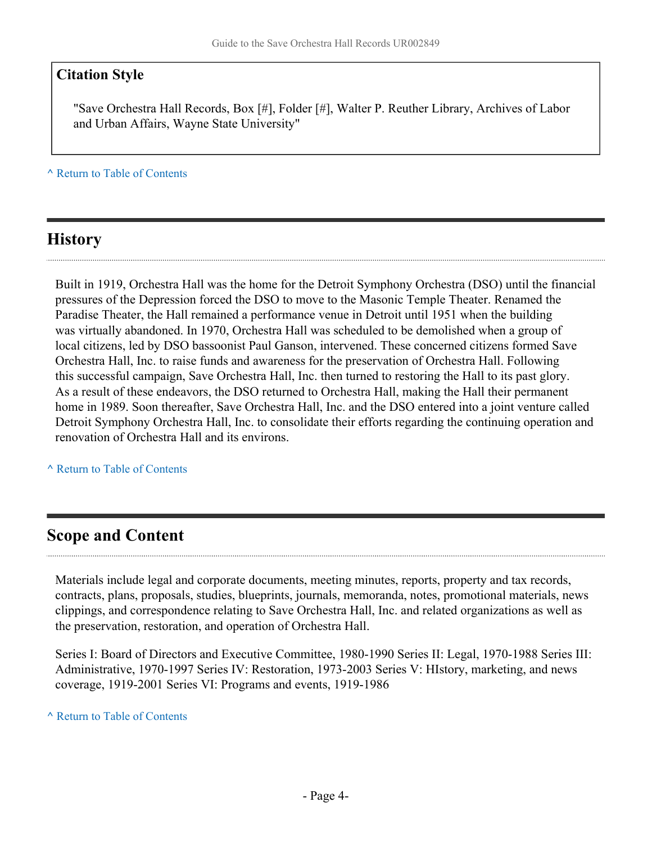### **Citation Style**

"Save Orchestra Hall Records, Box [#], Folder [#], Walter P. Reuther Library, Archives of Labor and Urban Affairs, Wayne State University"

**^** [Return to Table of Contents](#page-1-0)

## <span id="page-3-0"></span>**History**

Built in 1919, Orchestra Hall was the home for the Detroit Symphony Orchestra (DSO) until the financial pressures of the Depression forced the DSO to move to the Masonic Temple Theater. Renamed the Paradise Theater, the Hall remained a performance venue in Detroit until 1951 when the building was virtually abandoned. In 1970, Orchestra Hall was scheduled to be demolished when a group of local citizens, led by DSO bassoonist Paul Ganson, intervened. These concerned citizens formed Save Orchestra Hall, Inc. to raise funds and awareness for the preservation of Orchestra Hall. Following this successful campaign, Save Orchestra Hall, Inc. then turned to restoring the Hall to its past glory. As a result of these endeavors, the DSO returned to Orchestra Hall, making the Hall their permanent home in 1989. Soon thereafter, Save Orchestra Hall, Inc. and the DSO entered into a joint venture called Detroit Symphony Orchestra Hall, Inc. to consolidate their efforts regarding the continuing operation and renovation of Orchestra Hall and its environs.

**^** [Return to Table of Contents](#page-1-0)

### <span id="page-3-1"></span>**Scope and Content**

Materials include legal and corporate documents, meeting minutes, reports, property and tax records, contracts, plans, proposals, studies, blueprints, journals, memoranda, notes, promotional materials, news clippings, and correspondence relating to Save Orchestra Hall, Inc. and related organizations as well as the preservation, restoration, and operation of Orchestra Hall.

Series I: Board of Directors and Executive Committee, 1980-1990 Series II: Legal, 1970-1988 Series III: Administrative, 1970-1997 Series IV: Restoration, 1973-2003 Series V: HIstory, marketing, and news coverage, 1919-2001 Series VI: Programs and events, 1919-1986

**^** [Return to Table of Contents](#page-1-0)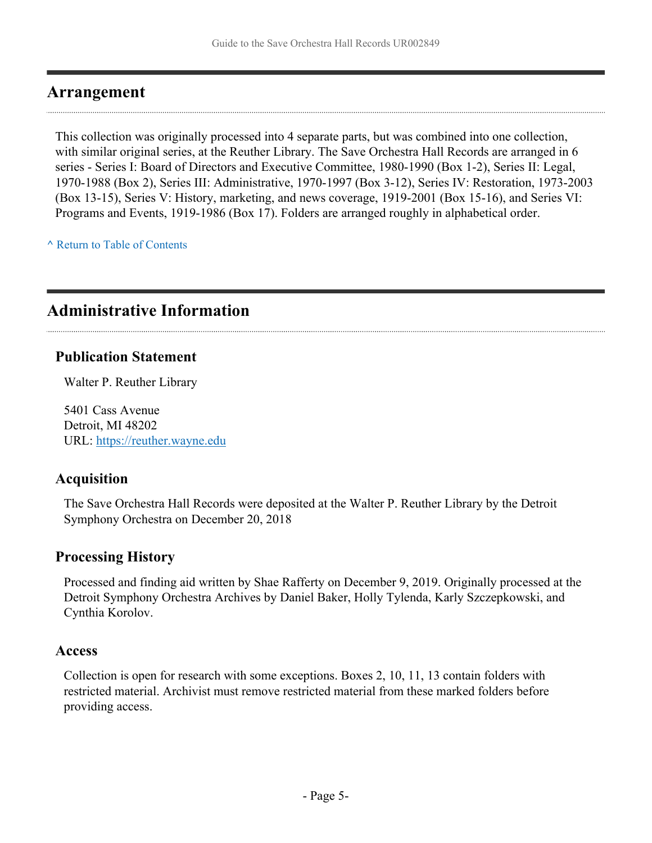### <span id="page-4-0"></span>**Arrangement**

This collection was originally processed into 4 separate parts, but was combined into one collection, with similar original series, at the Reuther Library. The Save Orchestra Hall Records are arranged in 6 series - Series I: Board of Directors and Executive Committee, 1980-1990 (Box 1-2), Series II: Legal, 1970-1988 (Box 2), Series III: Administrative, 1970-1997 (Box 3-12), Series IV: Restoration, 1973-2003 (Box 13-15), Series V: History, marketing, and news coverage, 1919-2001 (Box 15-16), and Series VI: Programs and Events, 1919-1986 (Box 17). Folders are arranged roughly in alphabetical order.

**^** [Return to Table of Contents](#page-1-0)

### <span id="page-4-1"></span>**Administrative Information**

#### **Publication Statement**

Walter P. Reuther Library

5401 Cass Avenue Detroit, MI 48202 URL:<https://reuther.wayne.edu>

### **Acquisition**

The Save Orchestra Hall Records were deposited at the Walter P. Reuther Library by the Detroit Symphony Orchestra on December 20, 2018

### **Processing History**

Processed and finding aid written by Shae Rafferty on December 9, 2019. Originally processed at the Detroit Symphony Orchestra Archives by Daniel Baker, Holly Tylenda, Karly Szczepkowski, and Cynthia Korolov.

#### **Access**

Collection is open for research with some exceptions. Boxes 2, 10, 11, 13 contain folders with restricted material. Archivist must remove restricted material from these marked folders before providing access.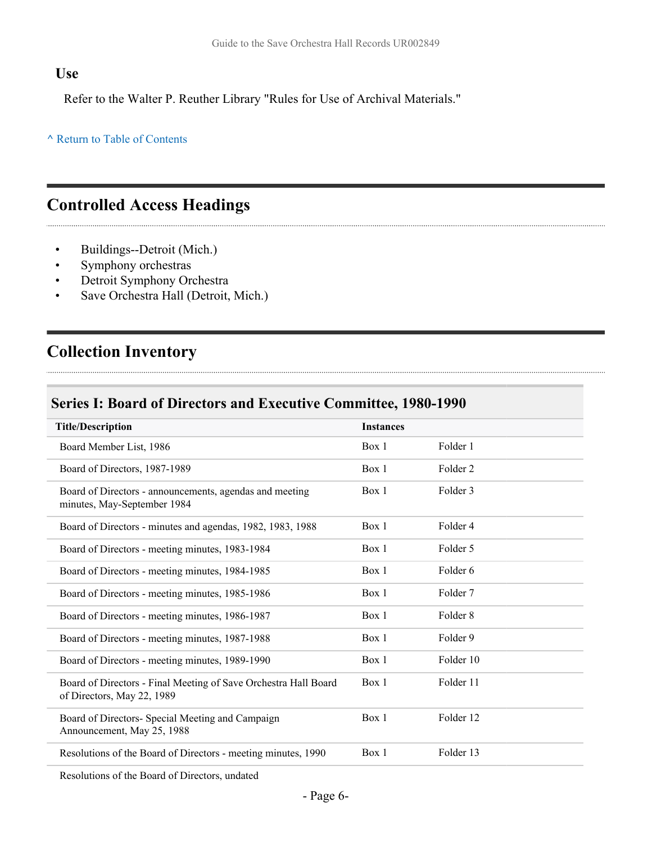#### **Use**

Refer to the Walter P. Reuther Library "Rules for Use of Archival Materials."

#### **^** [Return to Table of Contents](#page-1-0)

### <span id="page-5-0"></span>**Controlled Access Headings**

- Buildings--Detroit (Mich.)
- Symphony orchestras
- Detroit Symphony Orchestra
- Save Orchestra Hall (Detroit, Mich.)

## <span id="page-5-1"></span>**Collection Inventory**

### <span id="page-5-2"></span>**Series I: Board of Directors and Executive Committee, 1980-1990**

| <b>Title/Description</b>                                                                      | <b>Instances</b> |                     |
|-----------------------------------------------------------------------------------------------|------------------|---------------------|
| Board Member List, 1986                                                                       | Box 1            | Folder 1            |
| Board of Directors, 1987-1989                                                                 | Box 1            | Folder <sub>2</sub> |
| Board of Directors - announcements, agendas and meeting<br>minutes, May-September 1984        | Box 1            | Folder 3            |
| Board of Directors - minutes and agendas, 1982, 1983, 1988                                    | Box 1            | Folder 4            |
| Board of Directors - meeting minutes, 1983-1984                                               | Box 1            | Folder 5            |
| Board of Directors - meeting minutes, 1984-1985                                               | Box 1            | Folder 6            |
| Board of Directors - meeting minutes, 1985-1986                                               | Box 1            | Folder <sub>7</sub> |
| Board of Directors - meeting minutes, 1986-1987                                               | Box 1            | Folder <sub>8</sub> |
| Board of Directors - meeting minutes, 1987-1988                                               | Box 1            | Folder 9            |
| Board of Directors - meeting minutes, 1989-1990                                               | Box 1            | Folder 10           |
| Board of Directors - Final Meeting of Save Orchestra Hall Board<br>of Directors, May 22, 1989 | Box 1            | Folder 11           |
| Board of Directors- Special Meeting and Campaign<br>Announcement, May 25, 1988                | Box 1            | Folder 12           |
| Resolutions of the Board of Directors - meeting minutes, 1990                                 | Box 1            | Folder 13           |
|                                                                                               |                  |                     |

Resolutions of the Board of Directors, undated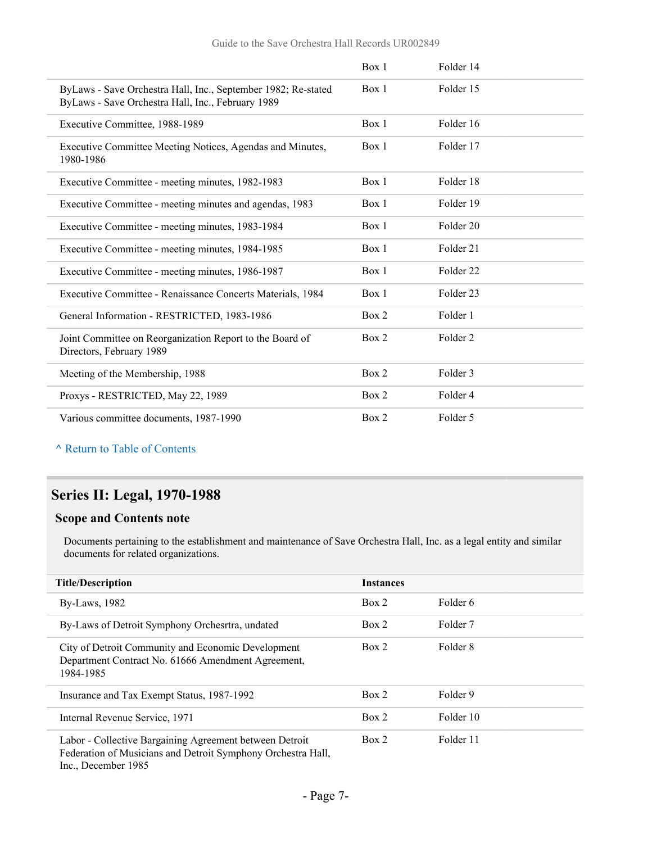|                                                                                                                    | Box 1 | Folder 14            |
|--------------------------------------------------------------------------------------------------------------------|-------|----------------------|
| ByLaws - Save Orchestra Hall, Inc., September 1982; Re-stated<br>ByLaws - Save Orchestra Hall, Inc., February 1989 | Box 1 | Folder 15            |
| Executive Committee, 1988-1989                                                                                     | Box 1 | Folder 16            |
| Executive Committee Meeting Notices, Agendas and Minutes,<br>1980-1986                                             | Box 1 | Folder 17            |
| Executive Committee - meeting minutes, 1982-1983                                                                   | Box 1 | Folder 18            |
| Executive Committee - meeting minutes and agendas, 1983                                                            | Box 1 | Folder 19            |
| Executive Committee - meeting minutes, 1983-1984                                                                   | Box 1 | Folder 20            |
| Executive Committee - meeting minutes, 1984-1985                                                                   | Box 1 | Folder 21            |
| Executive Committee - meeting minutes, 1986-1987                                                                   | Box 1 | Folder <sub>22</sub> |
| Executive Committee - Renaissance Concerts Materials, 1984                                                         | Box 1 | Folder <sub>23</sub> |
| General Information - RESTRICTED, 1983-1986                                                                        | Box 2 | Folder 1             |
| Joint Committee on Reorganization Report to the Board of<br>Directors, February 1989                               | Box 2 | Folder <sub>2</sub>  |
| Meeting of the Membership, 1988                                                                                    | Box 2 | Folder 3             |
| Proxys - RESTRICTED, May 22, 1989                                                                                  | Box 2 | Folder 4             |
| Various committee documents, 1987-1990                                                                             | Box 2 | Folder 5             |

### <span id="page-6-0"></span>**Series II: Legal, 1970-1988**

#### **Scope and Contents note**

Documents pertaining to the establishment and maintenance of Save Orchestra Hall, Inc. as a legal entity and similar documents for related organizations.

| <b>Title/Description</b>                                                                                                | <b>Instances</b> |                     |
|-------------------------------------------------------------------------------------------------------------------------|------------------|---------------------|
| By-Laws, 1982                                                                                                           | Box 2            | Folder 6            |
| By-Laws of Detroit Symphony Orchesrtra, undated                                                                         | Box 2            | Folder <sub>7</sub> |
| City of Detroit Community and Economic Development<br>Department Contract No. 61666 Amendment Agreement,<br>1984-1985   | Box 2            | Folder 8            |
| Insurance and Tax Exempt Status, 1987-1992                                                                              | Box 2            | Folder 9            |
| Internal Revenue Service, 1971                                                                                          | Box 2            | Folder 10           |
| Labor - Collective Bargaining Agreement between Detroit<br>Federation of Musicians and Detroit Symphony Orchestra Hall, | Box 2            | Folder 11           |

Inc., December 1985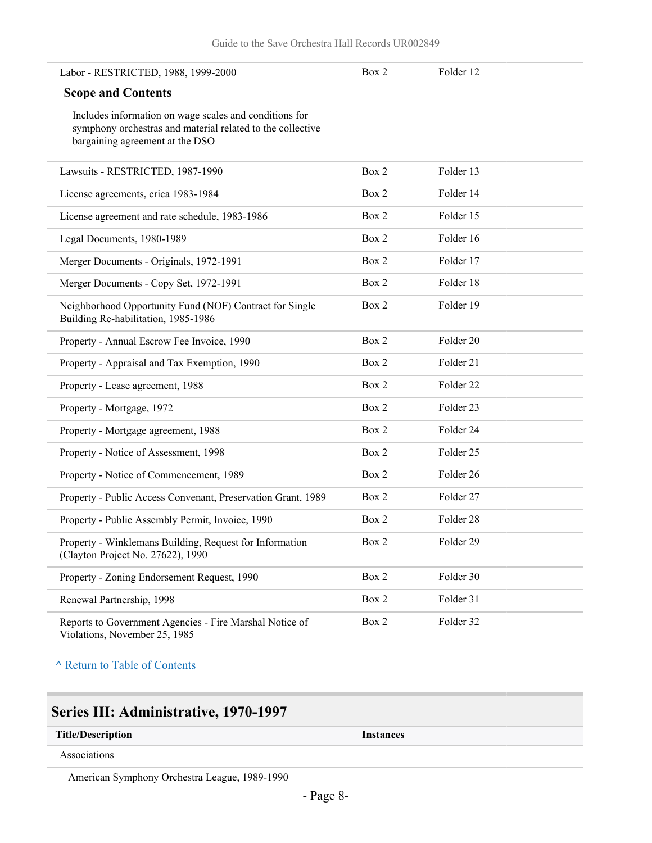#### Labor - RESTRICTED, 1988, 1999-2000

Box 2 Folder 12

#### **Scope and Contents**

Includes information on wage scales and conditions for symphony orchestras and material related to the collective bargaining agreement at the DSO

| Lawsuits - RESTRICTED, 1987-1990                                                               | Box 2 | Folder 13 |  |
|------------------------------------------------------------------------------------------------|-------|-----------|--|
| License agreements, crica 1983-1984                                                            | Box 2 | Folder 14 |  |
| License agreement and rate schedule, 1983-1986                                                 | Box 2 | Folder 15 |  |
| Legal Documents, 1980-1989                                                                     | Box 2 | Folder 16 |  |
| Merger Documents - Originals, 1972-1991                                                        | Box 2 | Folder 17 |  |
| Merger Documents - Copy Set, 1972-1991                                                         | Box 2 | Folder 18 |  |
| Neighborhood Opportunity Fund (NOF) Contract for Single<br>Building Re-habilitation, 1985-1986 | Box 2 | Folder 19 |  |
| Property - Annual Escrow Fee Invoice, 1990                                                     | Box 2 | Folder 20 |  |
| Property - Appraisal and Tax Exemption, 1990                                                   | Box 2 | Folder 21 |  |
| Property - Lease agreement, 1988                                                               | Box 2 | Folder 22 |  |
| Property - Mortgage, 1972                                                                      | Box 2 | Folder 23 |  |
| Property - Mortgage agreement, 1988                                                            | Box 2 | Folder 24 |  |
| Property - Notice of Assessment, 1998                                                          | Box 2 | Folder 25 |  |
| Property - Notice of Commencement, 1989                                                        | Box 2 | Folder 26 |  |
| Property - Public Access Convenant, Preservation Grant, 1989                                   | Box 2 | Folder 27 |  |
| Property - Public Assembly Permit, Invoice, 1990                                               | Box 2 | Folder 28 |  |
| Property - Winklemans Building, Request for Information<br>(Clayton Project No. 27622), 1990   | Box 2 | Folder 29 |  |
| Property - Zoning Endorsement Request, 1990                                                    | Box 2 | Folder 30 |  |
| Renewal Partnership, 1998                                                                      | Box 2 | Folder 31 |  |
| Reports to Government Agencies - Fire Marshal Notice of<br>Violations, November 25, 1985       | Box 2 | Folder 32 |  |

**^** [Return to Table of Contents](#page-1-0)

### <span id="page-7-0"></span>**Series III: Administrative, 1970-1997**

| <b>Title/Description</b> |  |  |
|--------------------------|--|--|
|                          |  |  |

**Title/Description Instances**

Associations

American Symphony Orchestra League, 1989-1990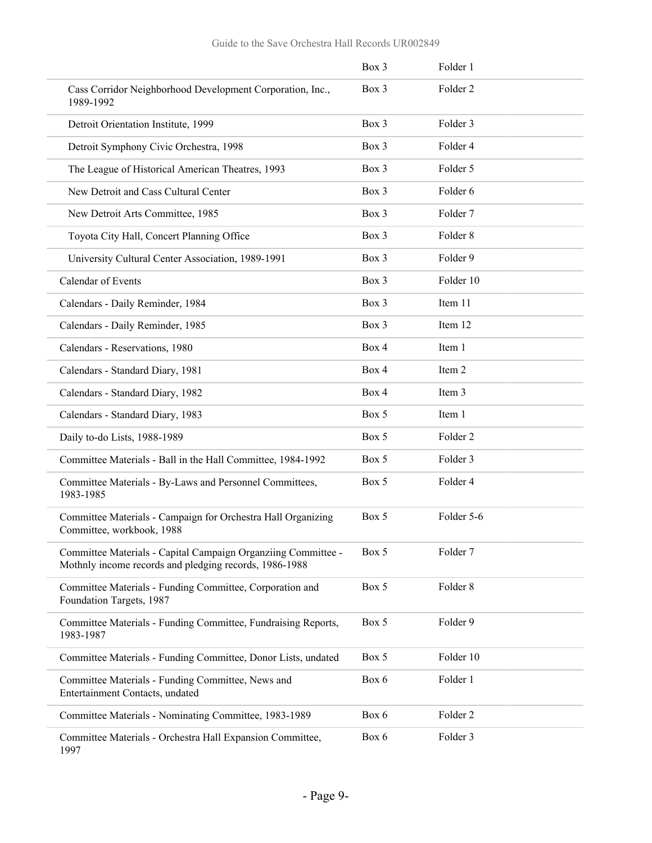|                                                                                                                         | Box 3 | Folder 1            |
|-------------------------------------------------------------------------------------------------------------------------|-------|---------------------|
| Cass Corridor Neighborhood Development Corporation, Inc.,<br>1989-1992                                                  | Box 3 | Folder <sub>2</sub> |
| Detroit Orientation Institute, 1999                                                                                     | Box 3 | Folder 3            |
| Detroit Symphony Civic Orchestra, 1998                                                                                  | Box 3 | Folder 4            |
| The League of Historical American Theatres, 1993                                                                        | Box 3 | Folder 5            |
| New Detroit and Cass Cultural Center                                                                                    | Box 3 | Folder 6            |
| New Detroit Arts Committee, 1985                                                                                        | Box 3 | Folder 7            |
| Toyota City Hall, Concert Planning Office                                                                               | Box 3 | Folder <sub>8</sub> |
| University Cultural Center Association, 1989-1991                                                                       | Box 3 | Folder 9            |
| Calendar of Events                                                                                                      | Box 3 | Folder 10           |
| Calendars - Daily Reminder, 1984                                                                                        | Box 3 | Item 11             |
| Calendars - Daily Reminder, 1985                                                                                        | Box 3 | Item 12             |
| Calendars - Reservations, 1980                                                                                          | Box 4 | Item 1              |
| Calendars - Standard Diary, 1981                                                                                        | Box 4 | Item 2              |
| Calendars - Standard Diary, 1982                                                                                        | Box 4 | Item 3              |
| Calendars - Standard Diary, 1983                                                                                        | Box 5 | Item 1              |
| Daily to-do Lists, 1988-1989                                                                                            | Box 5 | Folder 2            |
| Committee Materials - Ball in the Hall Committee, 1984-1992                                                             | Box 5 | Folder 3            |
| Committee Materials - By-Laws and Personnel Committees,<br>1983-1985                                                    | Box 5 | Folder 4            |
| Committee Materials - Campaign for Orchestra Hall Organizing<br>Committee, workbook, 1988                               | Box 5 | Folder 5-6          |
| Committee Materials - Capital Campaign Organziing Committee -<br>Mothnly income records and pledging records, 1986-1988 | Box 5 | Folder 7            |
| Committee Materials - Funding Committee, Corporation and<br>Foundation Targets, 1987                                    | Box 5 | Folder 8            |
| Committee Materials - Funding Committee, Fundraising Reports,<br>1983-1987                                              | Box 5 | Folder 9            |
| Committee Materials - Funding Committee, Donor Lists, undated                                                           | Box 5 | Folder 10           |
| Committee Materials - Funding Committee, News and<br>Entertainment Contacts, undated                                    | Box 6 | Folder 1            |
| Committee Materials - Nominating Committee, 1983-1989                                                                   | Box 6 | Folder <sub>2</sub> |
| Committee Materials - Orchestra Hall Expansion Committee,<br>1997                                                       | Box 6 | Folder 3            |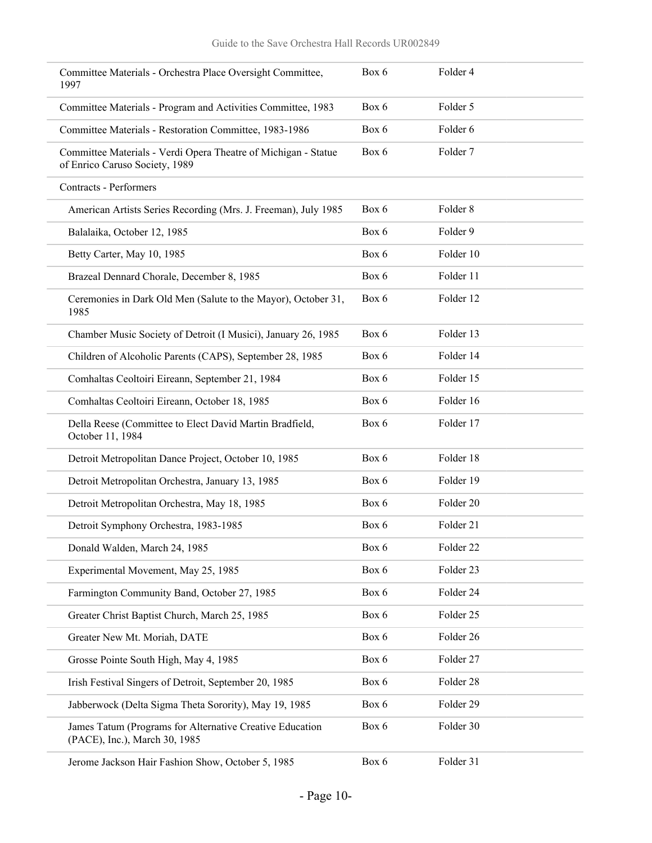| Committee Materials - Orchestra Place Oversight Committee,<br>1997                               | Box 6 | Folder 4            |
|--------------------------------------------------------------------------------------------------|-------|---------------------|
| Committee Materials - Program and Activities Committee, 1983                                     | Box 6 | Folder 5            |
| Committee Materials - Restoration Committee, 1983-1986                                           | Box 6 | Folder 6            |
| Committee Materials - Verdi Opera Theatre of Michigan - Statue<br>of Enrico Caruso Society, 1989 | Box 6 | Folder 7            |
| <b>Contracts - Performers</b>                                                                    |       |                     |
| American Artists Series Recording (Mrs. J. Freeman), July 1985                                   | Box 6 | Folder <sub>8</sub> |
| Balalaika, October 12, 1985                                                                      | Box 6 | Folder 9            |
| Betty Carter, May 10, 1985                                                                       | Box 6 | Folder 10           |
| Brazeal Dennard Chorale, December 8, 1985                                                        | Box 6 | Folder 11           |
| Ceremonies in Dark Old Men (Salute to the Mayor), October 31,<br>1985                            | Box 6 | Folder 12           |
| Chamber Music Society of Detroit (I Musici), January 26, 1985                                    | Box 6 | Folder 13           |
| Children of Alcoholic Parents (CAPS), September 28, 1985                                         | Box 6 | Folder 14           |
| Comhaltas Ceoltoiri Eireann, September 21, 1984                                                  | Box 6 | Folder 15           |
| Comhaltas Ceoltoiri Eireann, October 18, 1985                                                    | Box 6 | Folder 16           |
| Della Reese (Committee to Elect David Martin Bradfield,<br>October 11, 1984                      | Box 6 | Folder 17           |
| Detroit Metropolitan Dance Project, October 10, 1985                                             | Box 6 | Folder 18           |
| Detroit Metropolitan Orchestra, January 13, 1985                                                 | Box 6 | Folder 19           |
| Detroit Metropolitan Orchestra, May 18, 1985                                                     | Box 6 | Folder 20           |
| Detroit Symphony Orchestra, 1983-1985                                                            | Box 6 | Folder 21           |
| Donald Walden, March 24, 1985                                                                    | Box 6 | Folder 22           |
| Experimental Movement, May 25, 1985                                                              | Box 6 | Folder 23           |
| Farmington Community Band, October 27, 1985                                                      | Box 6 | Folder 24           |
| Greater Christ Baptist Church, March 25, 1985                                                    | Box 6 | Folder 25           |
| Greater New Mt. Moriah, DATE                                                                     | Box 6 | Folder 26           |
| Grosse Pointe South High, May 4, 1985                                                            | Box 6 | Folder 27           |
| Irish Festival Singers of Detroit, September 20, 1985                                            | Box 6 | Folder 28           |
| Jabberwock (Delta Sigma Theta Sorority), May 19, 1985                                            | Box 6 | Folder 29           |
| James Tatum (Programs for Alternative Creative Education<br>(PACE), Inc.), March 30, 1985        | Box 6 | Folder 30           |
| Jerome Jackson Hair Fashion Show, October 5, 1985                                                | Box 6 | Folder 31           |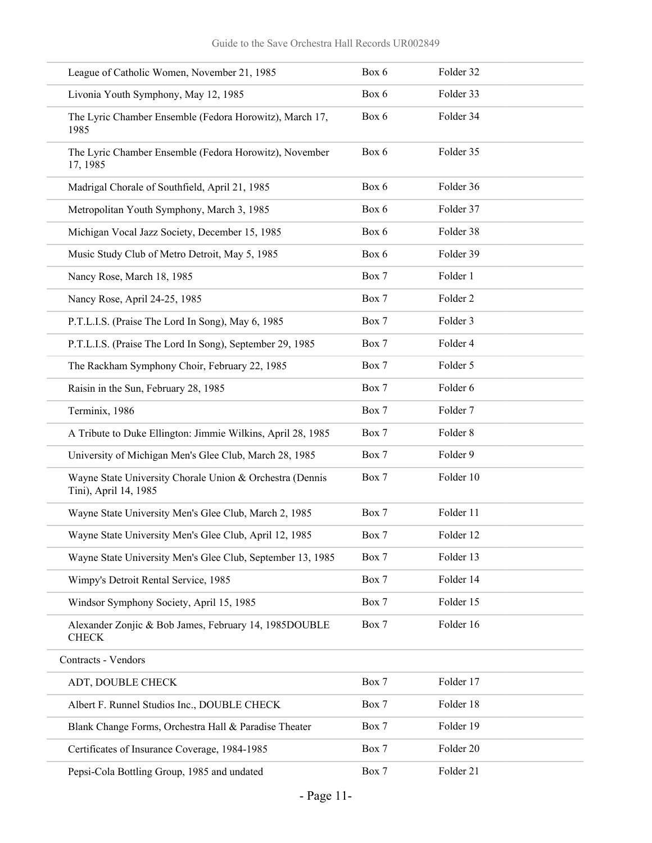| League of Catholic Women, November 21, 1985                                       | Box 6 | Folder 32           |
|-----------------------------------------------------------------------------------|-------|---------------------|
| Livonia Youth Symphony, May 12, 1985                                              | Box 6 | Folder 33           |
| The Lyric Chamber Ensemble (Fedora Horowitz), March 17,<br>1985                   | Box 6 | Folder 34           |
| The Lyric Chamber Ensemble (Fedora Horowitz), November<br>17, 1985                | Box 6 | Folder 35           |
| Madrigal Chorale of Southfield, April 21, 1985                                    | Box 6 | Folder 36           |
| Metropolitan Youth Symphony, March 3, 1985                                        | Box 6 | Folder 37           |
| Michigan Vocal Jazz Society, December 15, 1985                                    | Box 6 | Folder 38           |
| Music Study Club of Metro Detroit, May 5, 1985                                    | Box 6 | Folder 39           |
| Nancy Rose, March 18, 1985                                                        | Box 7 | Folder 1            |
| Nancy Rose, April 24-25, 1985                                                     | Box 7 | Folder <sub>2</sub> |
| P.T.L.I.S. (Praise The Lord In Song), May 6, 1985                                 | Box 7 | Folder 3            |
| P.T.L.I.S. (Praise The Lord In Song), September 29, 1985                          | Box 7 | Folder 4            |
| The Rackham Symphony Choir, February 22, 1985                                     | Box 7 | Folder 5            |
| Raisin in the Sun, February 28, 1985                                              | Box 7 | Folder 6            |
| Terminix, 1986                                                                    | Box 7 | Folder 7            |
| A Tribute to Duke Ellington: Jimmie Wilkins, April 28, 1985                       | Box 7 | Folder 8            |
| University of Michigan Men's Glee Club, March 28, 1985                            | Box 7 | Folder 9            |
| Wayne State University Chorale Union & Orchestra (Dennis<br>Tini), April 14, 1985 | Box 7 | Folder 10           |
| Wayne State University Men's Glee Club, March 2, 1985                             | Box 7 | Folder 11           |
| Wayne State University Men's Glee Club, April 12, 1985                            | Box 7 | Folder 12           |
| Wayne State University Men's Glee Club, September 13, 1985                        | Box 7 | Folder 13           |
| Wimpy's Detroit Rental Service, 1985                                              | Box 7 | Folder 14           |
| Windsor Symphony Society, April 15, 1985                                          | Box 7 | Folder 15           |
| Alexander Zonjic & Bob James, February 14, 1985DOUBLE<br><b>CHECK</b>             | Box 7 | Folder 16           |
| Contracts - Vendors                                                               |       |                     |
| ADT, DOUBLE CHECK                                                                 | Box 7 | Folder 17           |
| Albert F. Runnel Studios Inc., DOUBLE CHECK                                       | Box 7 | Folder 18           |
| Blank Change Forms, Orchestra Hall & Paradise Theater                             | Box 7 | Folder 19           |
| Certificates of Insurance Coverage, 1984-1985                                     | Box 7 | Folder 20           |
| Pepsi-Cola Bottling Group, 1985 and undated                                       | Box 7 | Folder 21           |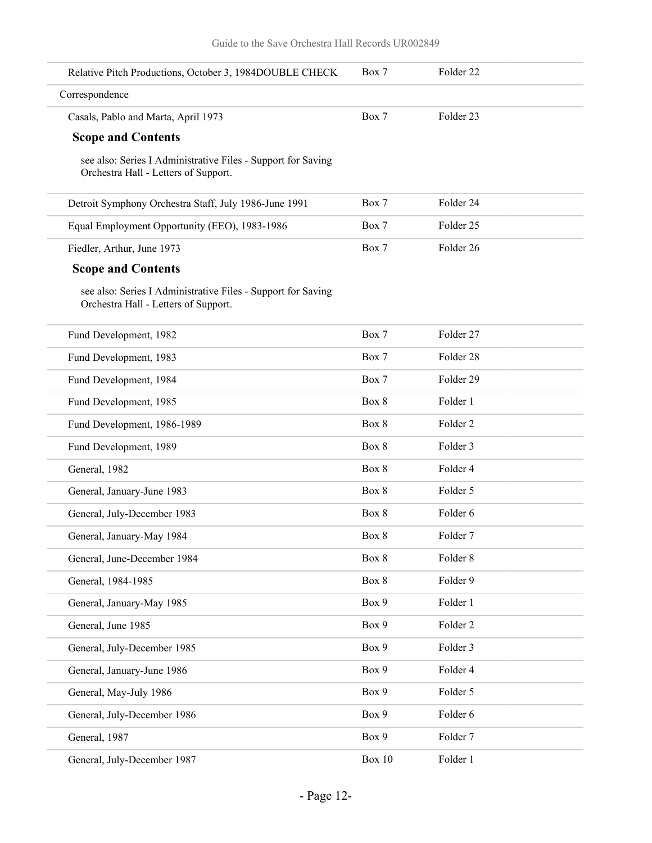| Relative Pitch Productions, October 3, 1984DOUBLE CHECK                                              | Box 7    | Folder <sub>22</sub> |  |
|------------------------------------------------------------------------------------------------------|----------|----------------------|--|
| Correspondence                                                                                       |          |                      |  |
| Casals, Pablo and Marta, April 1973                                                                  | Box 7    | Folder 23            |  |
| <b>Scope and Contents</b>                                                                            |          |                      |  |
| see also: Series I Administrative Files - Support for Saving<br>Orchestra Hall - Letters of Support. |          |                      |  |
| Detroit Symphony Orchestra Staff, July 1986-June 1991                                                | Box 7    | Folder 24            |  |
| Equal Employment Opportunity (EEO), 1983-1986                                                        | Box 7    | Folder 25            |  |
| Fiedler, Arthur, June 1973                                                                           | Box 7    | Folder 26            |  |
| <b>Scope and Contents</b>                                                                            |          |                      |  |
| see also: Series I Administrative Files - Support for Saving<br>Orchestra Hall - Letters of Support. |          |                      |  |
| Fund Development, 1982                                                                               | Box 7    | Folder 27            |  |
| Fund Development, 1983                                                                               | Box 7    | Folder 28            |  |
| Fund Development, 1984                                                                               | Box 7    | Folder 29            |  |
| Fund Development, 1985                                                                               | Box 8    | Folder 1             |  |
| Fund Development, 1986-1989                                                                          | Box 8    | Folder <sub>2</sub>  |  |
| Fund Development, 1989                                                                               | Box 8    | Folder 3             |  |
| General, 1982                                                                                        | Box 8    | Folder 4             |  |
| General, January-June 1983                                                                           | Box 8    | Folder 5             |  |
| General, July-December 1983                                                                          | Box 8    | Folder 6             |  |
| General, January-May 1984                                                                            | Box 8    | Folder <sub>7</sub>  |  |
| General, June-December 1984                                                                          | Box 8    | Folder 8             |  |
| General, 1984-1985                                                                                   | Box 8    | Folder 9             |  |
| General, January-May 1985                                                                            | Box 9    | Folder 1             |  |
| General, June 1985                                                                                   | Box 9    | Folder <sub>2</sub>  |  |
| General, July-December 1985                                                                          | Box 9    | Folder 3             |  |
| General, January-June 1986                                                                           | Box 9    | Folder 4             |  |
| General, May-July 1986                                                                               | Box 9    | Folder 5             |  |
| General, July-December 1986                                                                          | Box 9    | Folder 6             |  |
| General, 1987                                                                                        | Box 9    | Folder 7             |  |
| General, July-December 1987                                                                          | Box $10$ | Folder 1             |  |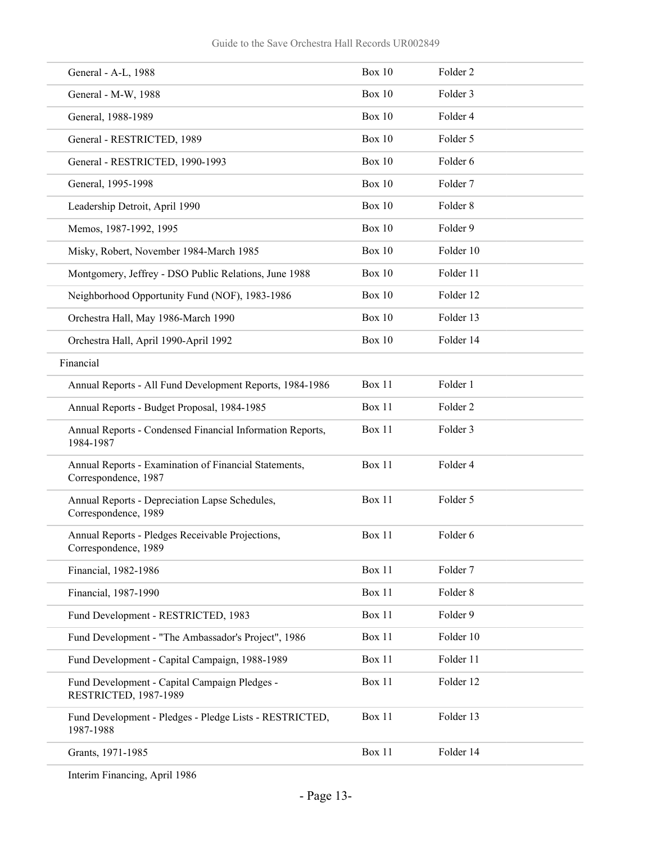| General - A-L, 1988                                                           | <b>Box 10</b> | Folder <sub>2</sub> |
|-------------------------------------------------------------------------------|---------------|---------------------|
| General - M-W, 1988                                                           | <b>Box 10</b> | Folder 3            |
| General, 1988-1989                                                            | Box $10$      | Folder 4            |
| General - RESTRICTED, 1989                                                    | <b>Box 10</b> | Folder 5            |
| General - RESTRICTED, 1990-1993                                               | <b>Box 10</b> | Folder 6            |
| General, 1995-1998                                                            | <b>Box 10</b> | Folder 7            |
| Leadership Detroit, April 1990                                                | <b>Box 10</b> | Folder <sub>8</sub> |
| Memos, 1987-1992, 1995                                                        | Box 10        | Folder 9            |
| Misky, Robert, November 1984-March 1985                                       | <b>Box 10</b> | Folder 10           |
| Montgomery, Jeffrey - DSO Public Relations, June 1988                         | Box 10        | Folder 11           |
| Neighborhood Opportunity Fund (NOF), 1983-1986                                | <b>Box 10</b> | Folder 12           |
| Orchestra Hall, May 1986-March 1990                                           | <b>Box 10</b> | Folder 13           |
| Orchestra Hall, April 1990-April 1992                                         | <b>Box 10</b> | Folder 14           |
| Financial                                                                     |               |                     |
| Annual Reports - All Fund Development Reports, 1984-1986                      | Box 11        | Folder 1            |
| Annual Reports - Budget Proposal, 1984-1985                                   | Box 11        | Folder <sub>2</sub> |
| Annual Reports - Condensed Financial Information Reports,<br>1984-1987        | Box 11        | Folder 3            |
| Annual Reports - Examination of Financial Statements,<br>Correspondence, 1987 | Box 11        | Folder 4            |
| Annual Reports - Depreciation Lapse Schedules,<br>Correspondence, 1989        | Box 11        | Folder 5            |
| Annual Reports - Pledges Receivable Projections,<br>Correspondence, 1989      | Box 11        | Folder 6            |
| Financial, 1982-1986                                                          | Box 11        | Folder 7            |
| Financial, 1987-1990                                                          | Box 11        | Folder 8            |
| Fund Development - RESTRICTED, 1983                                           | Box 11        | Folder 9            |
| Fund Development - "The Ambassador's Project", 1986                           | Box 11        | Folder 10           |
| Fund Development - Capital Campaign, 1988-1989                                | Box 11        | Folder 11           |
| Fund Development - Capital Campaign Pledges -<br>RESTRICTED, 1987-1989        | Box 11        | Folder 12           |
| Fund Development - Pledges - Pledge Lists - RESTRICTED,<br>1987-1988          | Box 11        | Folder 13           |
| Grants, 1971-1985                                                             | Box 11        | Folder 14           |

Interim Financing, April 1986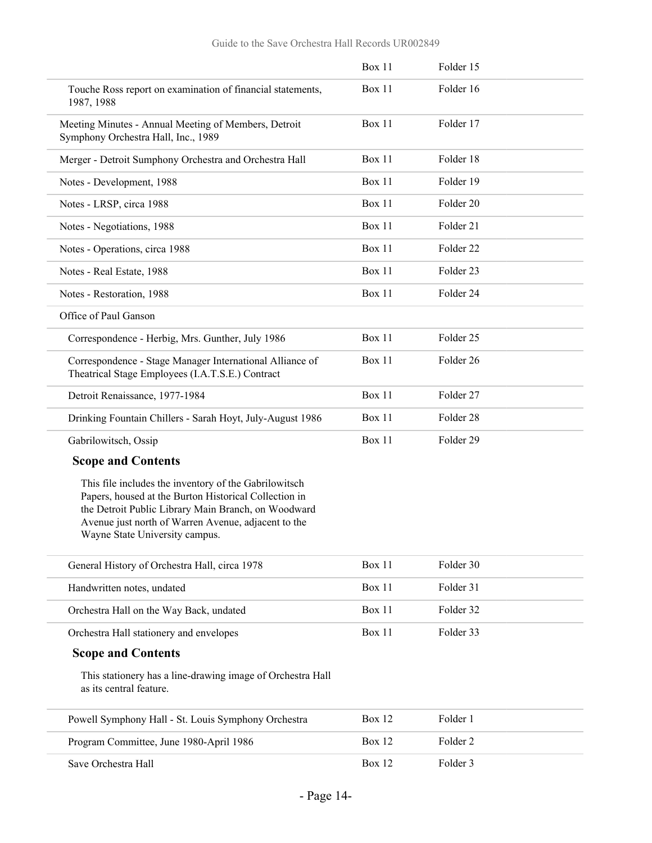|                                                                                                                                                                                                                                                                | Box 11        | Folder 15            |  |
|----------------------------------------------------------------------------------------------------------------------------------------------------------------------------------------------------------------------------------------------------------------|---------------|----------------------|--|
| Touche Ross report on examination of financial statements,<br>1987, 1988                                                                                                                                                                                       | Box 11        | Folder 16            |  |
| Meeting Minutes - Annual Meeting of Members, Detroit<br>Symphony Orchestra Hall, Inc., 1989                                                                                                                                                                    | Box 11        | Folder 17            |  |
| Merger - Detroit Sumphony Orchestra and Orchestra Hall                                                                                                                                                                                                         | Box 11        | Folder 18            |  |
| Notes - Development, 1988                                                                                                                                                                                                                                      | Box 11        | Folder 19            |  |
| Notes - LRSP, circa 1988                                                                                                                                                                                                                                       | <b>Box 11</b> | Folder <sub>20</sub> |  |
| Notes - Negotiations, 1988                                                                                                                                                                                                                                     | Box 11        | Folder 21            |  |
| Notes - Operations, circa 1988                                                                                                                                                                                                                                 | Box 11        | Folder <sub>22</sub> |  |
| Notes - Real Estate, 1988                                                                                                                                                                                                                                      | <b>Box 11</b> | Folder 23            |  |
| Notes - Restoration, 1988                                                                                                                                                                                                                                      | Box 11        | Folder 24            |  |
| Office of Paul Ganson                                                                                                                                                                                                                                          |               |                      |  |
| Correspondence - Herbig, Mrs. Gunther, July 1986                                                                                                                                                                                                               | Box 11        | Folder <sub>25</sub> |  |
| Correspondence - Stage Manager International Alliance of<br>Theatrical Stage Employees (I.A.T.S.E.) Contract                                                                                                                                                   | <b>Box 11</b> | Folder <sub>26</sub> |  |
| Detroit Renaissance, 1977-1984                                                                                                                                                                                                                                 | Box 11        | Folder 27            |  |
| Drinking Fountain Chillers - Sarah Hoyt, July-August 1986                                                                                                                                                                                                      | Box 11        | Folder 28            |  |
| Gabrilowitsch, Ossip                                                                                                                                                                                                                                           | Box 11        | Folder 29            |  |
| <b>Scope and Contents</b>                                                                                                                                                                                                                                      |               |                      |  |
| This file includes the inventory of the Gabrilowitsch<br>Papers, housed at the Burton Historical Collection in<br>the Detroit Public Library Main Branch, on Woodward<br>Avenue just north of Warren Avenue, adjacent to the<br>Wayne State University campus. |               |                      |  |
| General History of Orchestra Hall, circa 1978                                                                                                                                                                                                                  | Box 11        | Folder 30            |  |
| Handwritten notes, undated                                                                                                                                                                                                                                     | <b>Box 11</b> | Folder 31            |  |
| Orchestra Hall on the Way Back, undated                                                                                                                                                                                                                        | Box 11        | Folder 32            |  |
| Orchestra Hall stationery and envelopes                                                                                                                                                                                                                        | Box 11        | Folder 33            |  |
| <b>Scope and Contents</b>                                                                                                                                                                                                                                      |               |                      |  |
| This stationery has a line-drawing image of Orchestra Hall<br>as its central feature.                                                                                                                                                                          |               |                      |  |
| Powell Symphony Hall - St. Louis Symphony Orchestra                                                                                                                                                                                                            | Box 12        | Folder 1             |  |
| Program Committee, June 1980-April 1986                                                                                                                                                                                                                        | <b>Box 12</b> | Folder 2             |  |
| Save Orchestra Hall                                                                                                                                                                                                                                            | <b>Box 12</b> | Folder 3             |  |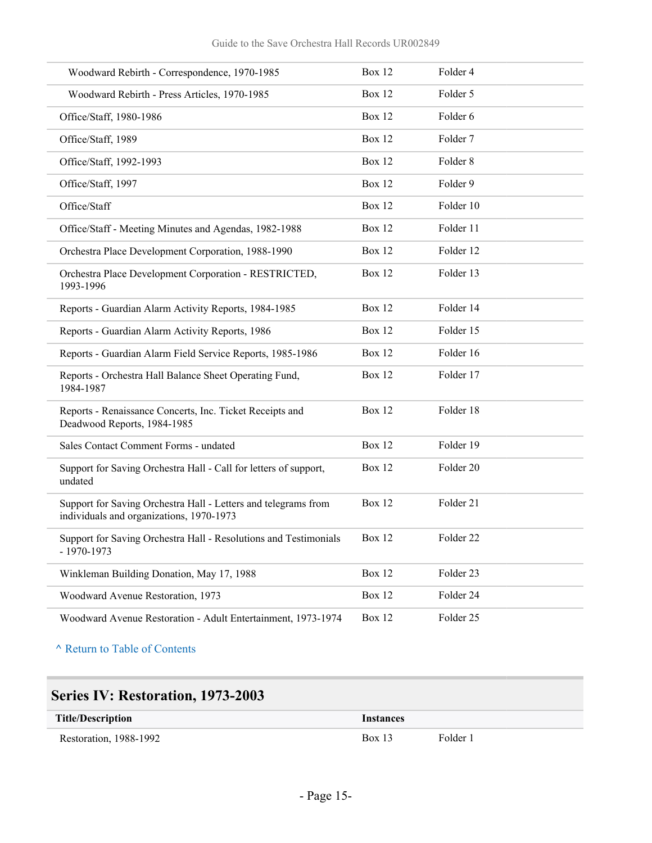| Woodward Rebirth - Correspondence, 1970-1985                                                               | <b>Box 12</b> | Folder 4  |
|------------------------------------------------------------------------------------------------------------|---------------|-----------|
| Woodward Rebirth - Press Articles, 1970-1985                                                               | <b>Box 12</b> | Folder 5  |
| Office/Staff, 1980-1986                                                                                    | Box 12        | Folder 6  |
| Office/Staff, 1989                                                                                         | Box 12        | Folder 7  |
| Office/Staff, 1992-1993                                                                                    | Box 12        | Folder 8  |
| Office/Staff, 1997                                                                                         | Box 12        | Folder 9  |
| Office/Staff                                                                                               | Box 12        | Folder 10 |
| Office/Staff - Meeting Minutes and Agendas, 1982-1988                                                      | Box 12        | Folder 11 |
| Orchestra Place Development Corporation, 1988-1990                                                         | Box 12        | Folder 12 |
| Orchestra Place Development Corporation - RESTRICTED,<br>1993-1996                                         | Box 12        | Folder 13 |
| Reports - Guardian Alarm Activity Reports, 1984-1985                                                       | <b>Box 12</b> | Folder 14 |
| Reports - Guardian Alarm Activity Reports, 1986                                                            | Box 12        | Folder 15 |
| Reports - Guardian Alarm Field Service Reports, 1985-1986                                                  | Box 12        | Folder 16 |
| Reports - Orchestra Hall Balance Sheet Operating Fund,<br>1984-1987                                        | Box 12        | Folder 17 |
| Reports - Renaissance Concerts, Inc. Ticket Receipts and<br>Deadwood Reports, 1984-1985                    | Box 12        | Folder 18 |
| Sales Contact Comment Forms - undated                                                                      | Box 12        | Folder 19 |
| Support for Saving Orchestra Hall - Call for letters of support,<br>undated                                | Box 12        | Folder 20 |
| Support for Saving Orchestra Hall - Letters and telegrams from<br>individuals and organizations, 1970-1973 | Box 12        | Folder 21 |
| Support for Saving Orchestra Hall - Resolutions and Testimonials<br>$-1970-1973$                           | <b>Box 12</b> | Folder 22 |
| Winkleman Building Donation, May 17, 1988                                                                  | <b>Box 12</b> | Folder 23 |
| Woodward Avenue Restoration, 1973                                                                          | <b>Box 12</b> | Folder 24 |
| Woodward Avenue Restoration - Adult Entertainment, 1973-1974                                               | <b>Box 12</b> | Folder 25 |

## <span id="page-14-0"></span>**Series IV: Restoration, 1973-2003**

| <b>Title/Description</b> | Instances |          |
|--------------------------|-----------|----------|
| Restoration, 1988-1992   | $Box$ 13  | Folder 1 |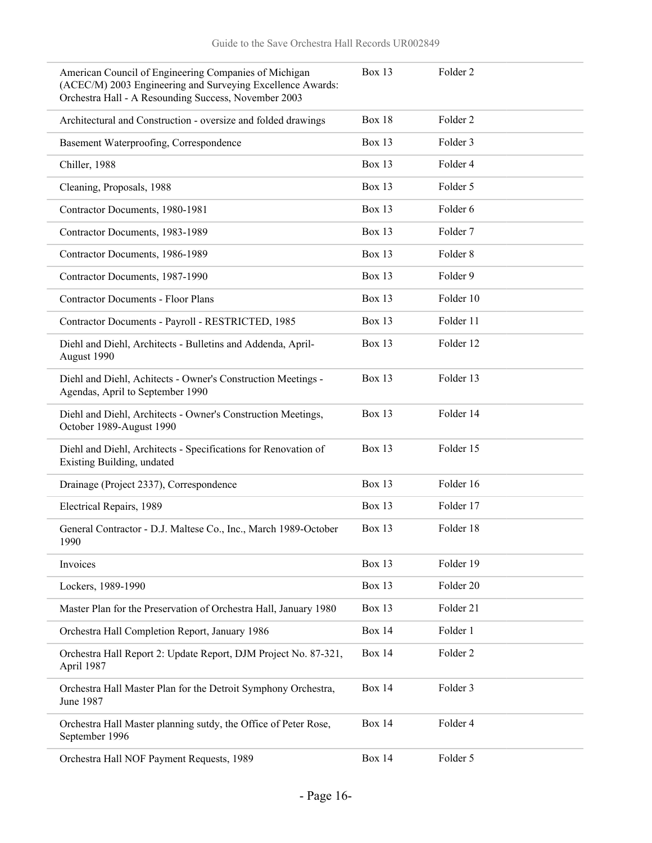| American Council of Engineering Companies of Michigan<br>(ACEC/M) 2003 Engineering and Surveying Excellence Awards:<br>Orchestra Hall - A Resounding Success, November 2003 | <b>Box 13</b> | Folder <sub>2</sub> |
|-----------------------------------------------------------------------------------------------------------------------------------------------------------------------------|---------------|---------------------|
| Architectural and Construction - oversize and folded drawings                                                                                                               | <b>Box 18</b> | Folder <sub>2</sub> |
| Basement Waterproofing, Correspondence                                                                                                                                      | Box 13        | Folder 3            |
| Chiller, 1988                                                                                                                                                               | <b>Box 13</b> | Folder 4            |
| Cleaning, Proposals, 1988                                                                                                                                                   | <b>Box 13</b> | Folder 5            |
| Contractor Documents, 1980-1981                                                                                                                                             | <b>Box 13</b> | Folder 6            |
| Contractor Documents, 1983-1989                                                                                                                                             | Box 13        | Folder <sub>7</sub> |
| Contractor Documents, 1986-1989                                                                                                                                             | <b>Box 13</b> | Folder <sub>8</sub> |
| Contractor Documents, 1987-1990                                                                                                                                             | <b>Box 13</b> | Folder 9            |
| <b>Contractor Documents - Floor Plans</b>                                                                                                                                   | <b>Box 13</b> | Folder 10           |
| Contractor Documents - Payroll - RESTRICTED, 1985                                                                                                                           | Box 13        | Folder 11           |
| Diehl and Diehl, Architects - Bulletins and Addenda, April-<br>August 1990                                                                                                  | Box 13        | Folder 12           |
| Diehl and Diehl, Achitects - Owner's Construction Meetings -<br>Agendas, April to September 1990                                                                            | Box 13        | Folder 13           |
| Diehl and Diehl, Architects - Owner's Construction Meetings,<br>October 1989-August 1990                                                                                    | <b>Box 13</b> | Folder 14           |
| Diehl and Diehl, Architects - Specifications for Renovation of<br>Existing Building, undated                                                                                | Box 13        | Folder 15           |
| Drainage (Project 2337), Correspondence                                                                                                                                     | Box 13        | Folder 16           |
| Electrical Repairs, 1989                                                                                                                                                    | <b>Box 13</b> | Folder 17           |
| General Contractor - D.J. Maltese Co., Inc., March 1989-October<br>1990                                                                                                     | Box 13        | Folder 18           |
| Invoices                                                                                                                                                                    | Box 13        | Folder 19           |
| Lockers, 1989-1990                                                                                                                                                          | Box 13        | Folder 20           |
| Master Plan for the Preservation of Orchestra Hall, January 1980                                                                                                            | Box 13        | Folder 21           |
| Orchestra Hall Completion Report, January 1986                                                                                                                              | <b>Box 14</b> | Folder 1            |
| Orchestra Hall Report 2: Update Report, DJM Project No. 87-321,<br>April 1987                                                                                               | <b>Box 14</b> | Folder 2            |
| Orchestra Hall Master Plan for the Detroit Symphony Orchestra,<br>June 1987                                                                                                 | <b>Box 14</b> | Folder 3            |
| Orchestra Hall Master planning sutdy, the Office of Peter Rose,<br>September 1996                                                                                           | <b>Box 14</b> | Folder 4            |
| Orchestra Hall NOF Payment Requests, 1989                                                                                                                                   | <b>Box 14</b> | Folder 5            |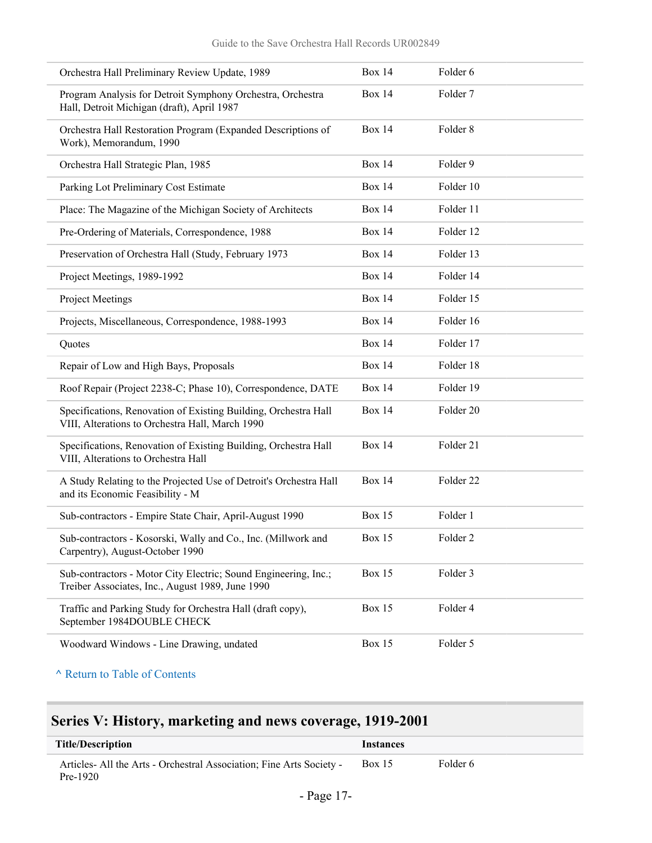| Orchestra Hall Preliminary Review Update, 1989                                                                      | <b>Box 14</b> | Folder 6             |
|---------------------------------------------------------------------------------------------------------------------|---------------|----------------------|
| Program Analysis for Detroit Symphony Orchestra, Orchestra<br>Hall, Detroit Michigan (draft), April 1987            | <b>Box 14</b> | Folder 7             |
| Orchestra Hall Restoration Program (Expanded Descriptions of<br>Work), Memorandum, 1990                             | <b>Box 14</b> | Folder <sub>8</sub>  |
| Orchestra Hall Strategic Plan, 1985                                                                                 | <b>Box 14</b> | Folder 9             |
| Parking Lot Preliminary Cost Estimate                                                                               | <b>Box 14</b> | Folder 10            |
| Place: The Magazine of the Michigan Society of Architects                                                           | <b>Box 14</b> | Folder 11            |
| Pre-Ordering of Materials, Correspondence, 1988                                                                     | <b>Box 14</b> | Folder 12            |
| Preservation of Orchestra Hall (Study, February 1973                                                                | <b>Box 14</b> | Folder 13            |
| Project Meetings, 1989-1992                                                                                         | <b>Box 14</b> | Folder 14            |
| Project Meetings                                                                                                    | <b>Box 14</b> | Folder 15            |
| Projects, Miscellaneous, Correspondence, 1988-1993                                                                  | <b>Box 14</b> | Folder 16            |
| Quotes                                                                                                              | <b>Box 14</b> | Folder 17            |
| Repair of Low and High Bays, Proposals                                                                              | <b>Box 14</b> | Folder 18            |
| Roof Repair (Project 2238-C; Phase 10), Correspondence, DATE                                                        | <b>Box 14</b> | Folder 19            |
| Specifications, Renovation of Existing Building, Orchestra Hall<br>VIII, Alterations to Orchestra Hall, March 1990  | <b>Box 14</b> | Folder 20            |
| Specifications, Renovation of Existing Building, Orchestra Hall<br>VIII, Alterations to Orchestra Hall              | <b>Box 14</b> | Folder 21            |
| A Study Relating to the Projected Use of Detroit's Orchestra Hall<br>and its Economic Feasibility - M               | <b>Box 14</b> | Folder <sub>22</sub> |
| Sub-contractors - Empire State Chair, April-August 1990                                                             | <b>Box 15</b> | Folder 1             |
| Sub-contractors - Kosorski, Wally and Co., Inc. (Millwork and<br>Carpentry), August-October 1990                    | Box 15        | Folder <sub>2</sub>  |
| Sub-contractors - Motor City Electric; Sound Engineering, Inc.;<br>Treiber Associates, Inc., August 1989, June 1990 | Box 15        | Folder 3             |
| Traffic and Parking Study for Orchestra Hall (draft copy),<br>September 1984DOUBLE CHECK                            | <b>Box 15</b> | Folder 4             |
| Woodward Windows - Line Drawing, undated                                                                            | <b>Box 15</b> | Folder 5             |
|                                                                                                                     |               |                      |

## <span id="page-16-0"></span>**Series V: History, marketing and news coverage, 1919-2001**

| Title/Description                                                                  | Instances     |          |
|------------------------------------------------------------------------------------|---------------|----------|
| Articles- All the Arts - Orchestral Association; Fine Arts Society -<br>$Pre-1920$ | <b>Box 15</b> | Folder 6 |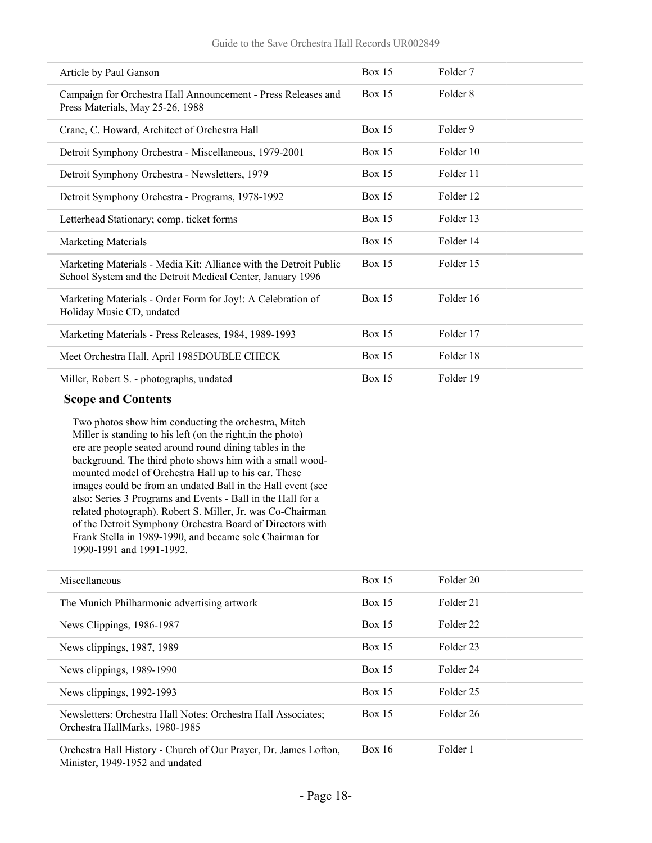| Article by Paul Ganson                                                                                                          | <b>Box 15</b> | Folder 7  |
|---------------------------------------------------------------------------------------------------------------------------------|---------------|-----------|
| Campaign for Orchestra Hall Announcement - Press Releases and<br>Press Materials, May 25-26, 1988                               | Box 15        | Folder 8  |
| Crane, C. Howard, Architect of Orchestra Hall                                                                                   | <b>Box 15</b> | Folder 9  |
| Detroit Symphony Orchestra - Miscellaneous, 1979-2001                                                                           | <b>Box 15</b> | Folder 10 |
| Detroit Symphony Orchestra - Newsletters, 1979                                                                                  | <b>Box 15</b> | Folder 11 |
| Detroit Symphony Orchestra - Programs, 1978-1992                                                                                | <b>Box 15</b> | Folder 12 |
| Letterhead Stationary; comp. ticket forms                                                                                       | Box $15$      | Folder 13 |
| <b>Marketing Materials</b>                                                                                                      | Box 15        | Folder 14 |
| Marketing Materials - Media Kit: Alliance with the Detroit Public<br>School System and the Detroit Medical Center, January 1996 | Box $15$      | Folder 15 |
| Marketing Materials - Order Form for Joy!: A Celebration of<br>Holiday Music CD, undated                                        | <b>Box 15</b> | Folder 16 |
| Marketing Materials - Press Releases, 1984, 1989-1993                                                                           | <b>Box 15</b> | Folder 17 |
| Meet Orchestra Hall, April 1985DOUBLE CHECK                                                                                     | <b>Box 15</b> | Folder 18 |
| Miller, Robert S. - photographs, undated                                                                                        | <b>Box 15</b> | Folder 19 |

#### **Scope and Contents**

Two photos show him conducting the orchestra, Mitch Miller is standing to his left (on the right,in the photo) ere are people seated around round dining tables in the background. The third photo shows him with a small woodmounted model of Orchestra Hall up to his ear. These images could be from an undated Ball in the Hall event (see also: Series 3 Programs and Events - Ball in the Hall for a related photograph). Robert S. Miller, Jr. was Co-Chairman of the Detroit Symphony Orchestra Board of Directors with Frank Stella in 1989-1990, and became sole Chairman for 1990-1991 and 1991-1992.

| Miscellaneous                                                                                       | Box 15        | Folder 20            |
|-----------------------------------------------------------------------------------------------------|---------------|----------------------|
| The Munich Philharmonic advertising artwork                                                         | Box 15        | Folder 21            |
| News Clippings, 1986-1987                                                                           | Box 15        | Folder <sub>22</sub> |
| News clippings, 1987, 1989                                                                          | Box 15        | Folder 23            |
| News clippings, 1989-1990                                                                           | <b>Box 15</b> | Folder 24            |
| News clippings, 1992-1993                                                                           | <b>Box 15</b> | Folder 25            |
| Newsletters: Orchestra Hall Notes; Orchestra Hall Associates;<br>Orchestra HallMarks, 1980-1985     | <b>Box 15</b> | Folder 26            |
| Orchestra Hall History - Church of Our Prayer, Dr. James Lofton,<br>Minister, 1949-1952 and undated | <b>Box 16</b> | Folder 1             |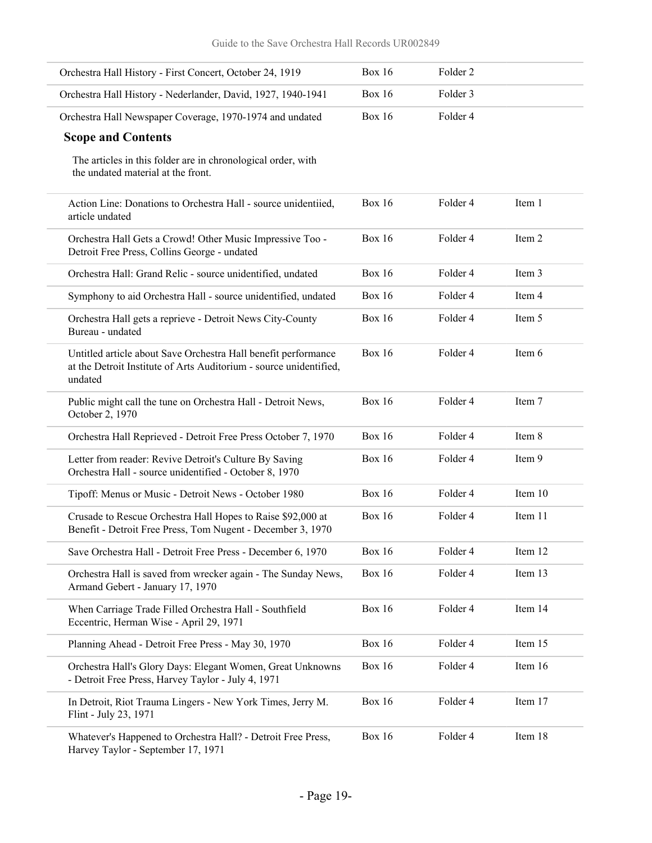| Orchestra Hall History - First Concert, October 24, 1919                                                                                        | <b>Box 16</b> | Folder <sub>2</sub> |         |
|-------------------------------------------------------------------------------------------------------------------------------------------------|---------------|---------------------|---------|
| Orchestra Hall History - Nederlander, David, 1927, 1940-1941                                                                                    | <b>Box 16</b> | Folder 3            |         |
| Orchestra Hall Newspaper Coverage, 1970-1974 and undated                                                                                        | <b>Box 16</b> | Folder 4            |         |
| <b>Scope and Contents</b>                                                                                                                       |               |                     |         |
| The articles in this folder are in chronological order, with<br>the undated material at the front.                                              |               |                     |         |
| Action Line: Donations to Orchestra Hall - source unidentiied,<br>article undated                                                               | <b>Box 16</b> | Folder 4            | Item 1  |
| Orchestra Hall Gets a Crowd! Other Music Impressive Too -<br>Detroit Free Press, Collins George - undated                                       | <b>Box 16</b> | Folder <sub>4</sub> | Item 2  |
| Orchestra Hall: Grand Relic - source unidentified, undated                                                                                      | <b>Box 16</b> | Folder 4            | Item 3  |
| Symphony to aid Orchestra Hall - source unidentified, undated                                                                                   | <b>Box 16</b> | Folder 4            | Item 4  |
| Orchestra Hall gets a reprieve - Detroit News City-County<br>Bureau - undated                                                                   | <b>Box 16</b> | Folder 4            | Item 5  |
| Untitled article about Save Orchestra Hall benefit performance<br>at the Detroit Institute of Arts Auditorium - source unidentified,<br>undated | <b>Box 16</b> | Folder 4            | Item 6  |
| Public might call the tune on Orchestra Hall - Detroit News,<br>October 2, 1970                                                                 | <b>Box 16</b> | Folder 4            | Item 7  |
| Orchestra Hall Reprieved - Detroit Free Press October 7, 1970                                                                                   | <b>Box 16</b> | Folder 4            | Item 8  |
| Letter from reader: Revive Detroit's Culture By Saving<br>Orchestra Hall - source unidentified - October 8, 1970                                | <b>Box 16</b> | Folder 4            | Item 9  |
| Tipoff: Menus or Music - Detroit News - October 1980                                                                                            | <b>Box 16</b> | Folder 4            | Item 10 |
| Crusade to Rescue Orchestra Hall Hopes to Raise \$92,000 at<br>Benefit - Detroit Free Press, Tom Nugent - December 3, 1970                      | <b>Box 16</b> | Folder 4            | Item 11 |
| Save Orchestra Hall - Detroit Free Press - December 6, 1970                                                                                     | <b>Box 16</b> | Folder 4            | Item 12 |
| Orchestra Hall is saved from wrecker again - The Sunday News,<br>Armand Gebert - January 17, 1970                                               | <b>Box 16</b> | Folder 4            | Item 13 |
| When Carriage Trade Filled Orchestra Hall - Southfield<br>Eccentric, Herman Wise - April 29, 1971                                               | <b>Box 16</b> | Folder 4            | Item 14 |
| Planning Ahead - Detroit Free Press - May 30, 1970                                                                                              | <b>Box 16</b> | Folder 4            | Item 15 |
| Orchestra Hall's Glory Days: Elegant Women, Great Unknowns<br>- Detroit Free Press, Harvey Taylor - July 4, 1971                                | <b>Box 16</b> | Folder 4            | Item 16 |
| In Detroit, Riot Trauma Lingers - New York Times, Jerry M.<br>Flint - July 23, 1971                                                             | <b>Box 16</b> | Folder 4            | Item 17 |
| Whatever's Happened to Orchestra Hall? - Detroit Free Press,<br>Harvey Taylor - September 17, 1971                                              | <b>Box 16</b> | Folder 4            | Item 18 |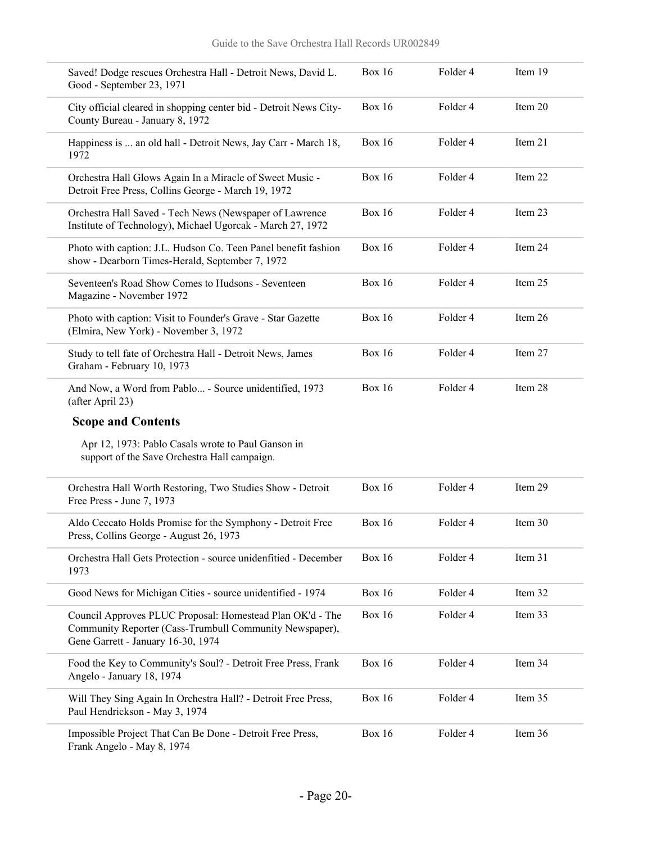| Saved! Dodge rescues Orchestra Hall - Detroit News, David L.<br>Good - September 23, 1971                                                                  | <b>Box 16</b> | Folder 4 | Item 19 |
|------------------------------------------------------------------------------------------------------------------------------------------------------------|---------------|----------|---------|
| City official cleared in shopping center bid - Detroit News City-<br>County Bureau - January 8, 1972                                                       | <b>Box 16</b> | Folder 4 | Item 20 |
| Happiness is  an old hall - Detroit News, Jay Carr - March 18,<br>1972                                                                                     | <b>Box 16</b> | Folder 4 | Item 21 |
| Orchestra Hall Glows Again In a Miracle of Sweet Music -<br>Detroit Free Press, Collins George - March 19, 1972                                            | <b>Box 16</b> | Folder 4 | Item 22 |
| Orchestra Hall Saved - Tech News (Newspaper of Lawrence<br>Institute of Technology), Michael Ugorcak - March 27, 1972                                      | <b>Box 16</b> | Folder 4 | Item 23 |
| Photo with caption: J.L. Hudson Co. Teen Panel benefit fashion<br>show - Dearborn Times-Herald, September 7, 1972                                          | <b>Box 16</b> | Folder 4 | Item 24 |
| Seventeen's Road Show Comes to Hudsons - Seventeen<br>Magazine - November 1972                                                                             | <b>Box 16</b> | Folder 4 | Item 25 |
| Photo with caption: Visit to Founder's Grave - Star Gazette<br>(Elmira, New York) - November 3, 1972                                                       | <b>Box 16</b> | Folder 4 | Item 26 |
| Study to tell fate of Orchestra Hall - Detroit News, James<br>Graham - February 10, 1973                                                                   | <b>Box 16</b> | Folder 4 | Item 27 |
| And Now, a Word from Pablo - Source unidentified, 1973<br>(after April 23)                                                                                 | <b>Box 16</b> | Folder 4 | Item 28 |
|                                                                                                                                                            |               |          |         |
| <b>Scope and Contents</b>                                                                                                                                  |               |          |         |
| Apr 12, 1973: Pablo Casals wrote to Paul Ganson in<br>support of the Save Orchestra Hall campaign.                                                         |               |          |         |
| Orchestra Hall Worth Restoring, Two Studies Show - Detroit<br>Free Press - June 7, 1973                                                                    | <b>Box 16</b> | Folder 4 | Item 29 |
| Aldo Ceccato Holds Promise for the Symphony - Detroit Free<br>Press, Collins George - August 26, 1973                                                      | <b>Box 16</b> | Folder 4 | Item 30 |
| Orchestra Hall Gets Protection - source unidenfitied - December<br>1973                                                                                    | <b>Box 16</b> | Folder 4 | Item 31 |
| Good News for Michigan Cities - source unidentified - 1974                                                                                                 | <b>Box 16</b> | Folder 4 | Item 32 |
| Council Approves PLUC Proposal: Homestead Plan OK'd - The<br>Community Reporter (Cass-Trumbull Community Newspaper),<br>Gene Garrett - January 16-30, 1974 | <b>Box 16</b> | Folder 4 | Item 33 |
| Food the Key to Community's Soul? - Detroit Free Press, Frank<br>Angelo - January 18, 1974                                                                 | <b>Box 16</b> | Folder 4 | Item 34 |
| Will They Sing Again In Orchestra Hall? - Detroit Free Press,<br>Paul Hendrickson - May 3, 1974                                                            | <b>Box 16</b> | Folder 4 | Item 35 |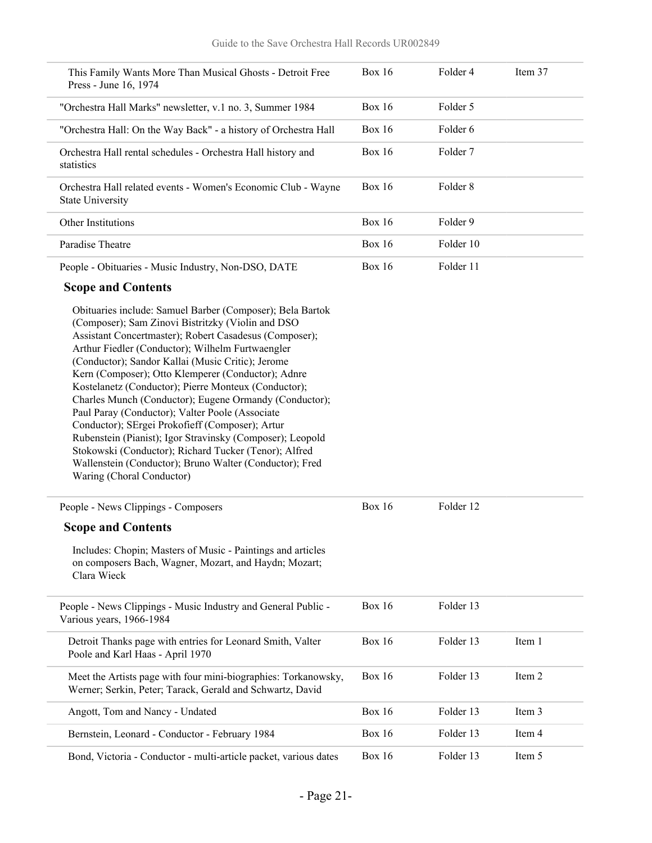| This Family Wants More Than Musical Ghosts - Detroit Free<br>Press - June 16, 1974                                                                                                                                                                                                                                                                                                                                                                                                                                                                                                                                                                                                                                                                                            | <b>Box 16</b> | Folder 4  | Item 37 |
|-------------------------------------------------------------------------------------------------------------------------------------------------------------------------------------------------------------------------------------------------------------------------------------------------------------------------------------------------------------------------------------------------------------------------------------------------------------------------------------------------------------------------------------------------------------------------------------------------------------------------------------------------------------------------------------------------------------------------------------------------------------------------------|---------------|-----------|---------|
| "Orchestra Hall Marks" newsletter, v.1 no. 3, Summer 1984                                                                                                                                                                                                                                                                                                                                                                                                                                                                                                                                                                                                                                                                                                                     | <b>Box 16</b> | Folder 5  |         |
| "Orchestra Hall: On the Way Back" - a history of Orchestra Hall                                                                                                                                                                                                                                                                                                                                                                                                                                                                                                                                                                                                                                                                                                               | <b>Box 16</b> | Folder 6  |         |
| Orchestra Hall rental schedules - Orchestra Hall history and<br>statistics                                                                                                                                                                                                                                                                                                                                                                                                                                                                                                                                                                                                                                                                                                    | <b>Box 16</b> | Folder 7  |         |
| Orchestra Hall related events - Women's Economic Club - Wayne<br><b>State University</b>                                                                                                                                                                                                                                                                                                                                                                                                                                                                                                                                                                                                                                                                                      | <b>Box 16</b> | Folder 8  |         |
| Other Institutions                                                                                                                                                                                                                                                                                                                                                                                                                                                                                                                                                                                                                                                                                                                                                            | <b>Box 16</b> | Folder 9  |         |
| Paradise Theatre                                                                                                                                                                                                                                                                                                                                                                                                                                                                                                                                                                                                                                                                                                                                                              | <b>Box 16</b> | Folder 10 |         |
| People - Obituaries - Music Industry, Non-DSO, DATE                                                                                                                                                                                                                                                                                                                                                                                                                                                                                                                                                                                                                                                                                                                           | <b>Box 16</b> | Folder 11 |         |
| <b>Scope and Contents</b>                                                                                                                                                                                                                                                                                                                                                                                                                                                                                                                                                                                                                                                                                                                                                     |               |           |         |
| Obituaries include: Samuel Barber (Composer); Bela Bartok<br>(Composer); Sam Zinovi Bistritzky (Violin and DSO<br>Assistant Concertmaster); Robert Casadesus (Composer);<br>Arthur Fiedler (Conductor); Wilhelm Furtwaengler<br>(Conductor); Sandor Kallai (Music Critic); Jerome<br>Kern (Composer); Otto Klemperer (Conductor); Adnre<br>Kostelanetz (Conductor); Pierre Monteux (Conductor);<br>Charles Munch (Conductor); Eugene Ormandy (Conductor);<br>Paul Paray (Conductor); Valter Poole (Associate<br>Conductor); SErgei Prokofieff (Composer); Artur<br>Rubenstein (Pianist); Igor Stravinsky (Composer); Leopold<br>Stokowski (Conductor); Richard Tucker (Tenor); Alfred<br>Wallenstein (Conductor); Bruno Walter (Conductor); Fred<br>Waring (Choral Conductor) |               |           |         |
| People - News Clippings - Composers                                                                                                                                                                                                                                                                                                                                                                                                                                                                                                                                                                                                                                                                                                                                           | <b>Box 16</b> | Folder 12 |         |
| <b>Scope and Contents</b>                                                                                                                                                                                                                                                                                                                                                                                                                                                                                                                                                                                                                                                                                                                                                     |               |           |         |
| Includes: Chopin; Masters of Music - Paintings and articles<br>on composers Bach, Wagner, Mozart, and Haydn; Mozart;<br>Clara Wieck                                                                                                                                                                                                                                                                                                                                                                                                                                                                                                                                                                                                                                           |               |           |         |
| People - News Clippings - Music Industry and General Public -<br>Various years, 1966-1984                                                                                                                                                                                                                                                                                                                                                                                                                                                                                                                                                                                                                                                                                     | <b>Box 16</b> | Folder 13 |         |
| Detroit Thanks page with entries for Leonard Smith, Valter<br>Poole and Karl Haas - April 1970                                                                                                                                                                                                                                                                                                                                                                                                                                                                                                                                                                                                                                                                                | <b>Box 16</b> | Folder 13 | Item 1  |
| Meet the Artists page with four mini-biographies: Torkanowsky,<br>Werner; Serkin, Peter; Tarack, Gerald and Schwartz, David                                                                                                                                                                                                                                                                                                                                                                                                                                                                                                                                                                                                                                                   | <b>Box 16</b> | Folder 13 | Item 2  |
| Angott, Tom and Nancy - Undated                                                                                                                                                                                                                                                                                                                                                                                                                                                                                                                                                                                                                                                                                                                                               | <b>Box 16</b> | Folder 13 | Item 3  |
| Bernstein, Leonard - Conductor - February 1984                                                                                                                                                                                                                                                                                                                                                                                                                                                                                                                                                                                                                                                                                                                                | <b>Box 16</b> | Folder 13 | Item 4  |
| Bond, Victoria - Conductor - multi-article packet, various dates                                                                                                                                                                                                                                                                                                                                                                                                                                                                                                                                                                                                                                                                                                              | <b>Box 16</b> | Folder 13 | Item 5  |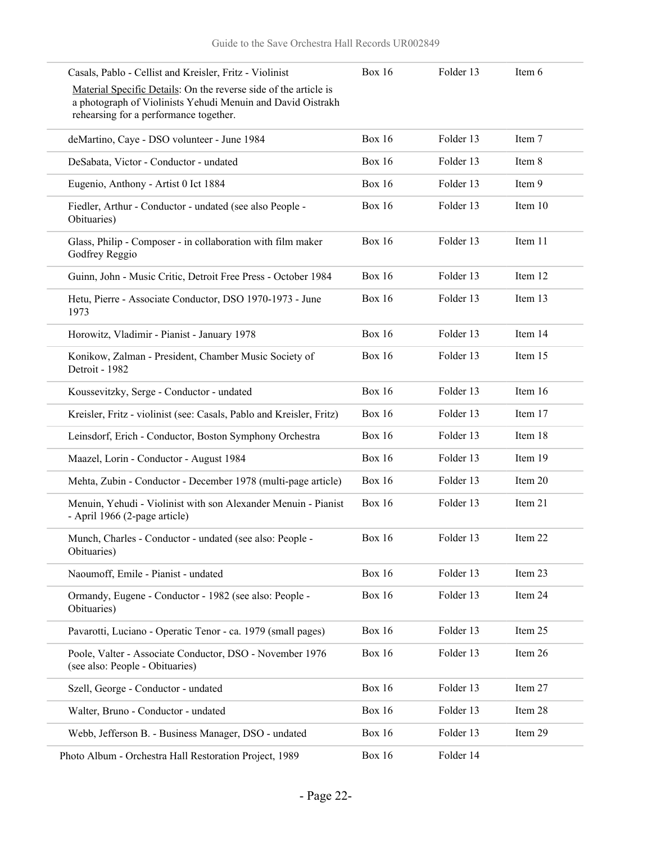| Casals, Pablo - Cellist and Kreisler, Fritz - Violinist                                                                                                                   | <b>Box 16</b> | Folder 13 | Item 6    |
|---------------------------------------------------------------------------------------------------------------------------------------------------------------------------|---------------|-----------|-----------|
| Material Specific Details: On the reverse side of the article is<br>a photograph of Violinists Yehudi Menuin and David Oistrakh<br>rehearsing for a performance together. |               |           |           |
| deMartino, Caye - DSO volunteer - June 1984                                                                                                                               | <b>Box 16</b> | Folder 13 | Item 7    |
| DeSabata, Victor - Conductor - undated                                                                                                                                    | <b>Box 16</b> | Folder 13 | Item 8    |
| Eugenio, Anthony - Artist 0 Ict 1884                                                                                                                                      | <b>Box 16</b> | Folder 13 | Item 9    |
| Fiedler, Arthur - Conductor - undated (see also People -<br>Obituaries)                                                                                                   | <b>Box 16</b> | Folder 13 | Item 10   |
| Glass, Philip - Composer - in collaboration with film maker<br>Godfrey Reggio                                                                                             | <b>Box 16</b> | Folder 13 | Item 11   |
| Guinn, John - Music Critic, Detroit Free Press - October 1984                                                                                                             | <b>Box 16</b> | Folder 13 | Item 12   |
| Hetu, Pierre - Associate Conductor, DSO 1970-1973 - June<br>1973                                                                                                          | <b>Box 16</b> | Folder 13 | Item 13   |
| Horowitz, Vladimir - Pianist - January 1978                                                                                                                               | <b>Box 16</b> | Folder 13 | Item 14   |
| Konikow, Zalman - President, Chamber Music Society of<br>Detroit - 1982                                                                                                   | <b>Box 16</b> | Folder 13 | Item 15   |
| Koussevitzky, Serge - Conductor - undated                                                                                                                                 | <b>Box 16</b> | Folder 13 | Item 16   |
| Kreisler, Fritz - violinist (see: Casals, Pablo and Kreisler, Fritz)                                                                                                      | <b>Box 16</b> | Folder 13 | Item 17   |
| Leinsdorf, Erich - Conductor, Boston Symphony Orchestra                                                                                                                   | <b>Box 16</b> | Folder 13 | Item 18   |
| Maazel, Lorin - Conductor - August 1984                                                                                                                                   | <b>Box 16</b> | Folder 13 | Item 19   |
| Mehta, Zubin - Conductor - December 1978 (multi-page article)                                                                                                             | <b>Box 16</b> | Folder 13 | Item 20   |
| Menuin, Yehudi - Violinist with son Alexander Menuin - Pianist<br>- April 1966 (2-page article)                                                                           | <b>Box 16</b> | Folder 13 | Item 21   |
| Munch, Charles - Conductor - undated (see also: People -<br>Obituaries)                                                                                                   | Box 16        | Folder 13 | Item $22$ |
| Naoumoff, Emile - Pianist - undated                                                                                                                                       | <b>Box 16</b> | Folder 13 | Item 23   |
| Ormandy, Eugene - Conductor - 1982 (see also: People -<br>Obituaries)                                                                                                     | <b>Box 16</b> | Folder 13 | Item 24   |
| Pavarotti, Luciano - Operatic Tenor - ca. 1979 (small pages)                                                                                                              | <b>Box 16</b> | Folder 13 | Item 25   |
| Poole, Valter - Associate Conductor, DSO - November 1976<br>(see also: People - Obituaries)                                                                               | <b>Box 16</b> | Folder 13 | Item 26   |
| Szell, George - Conductor - undated                                                                                                                                       | <b>Box 16</b> | Folder 13 | Item 27   |
| Walter, Bruno - Conductor - undated                                                                                                                                       | <b>Box 16</b> | Folder 13 | Item 28   |
| Webb, Jefferson B. - Business Manager, DSO - undated                                                                                                                      | <b>Box 16</b> | Folder 13 | Item 29   |
| Photo Album - Orchestra Hall Restoration Project, 1989                                                                                                                    | <b>Box 16</b> | Folder 14 |           |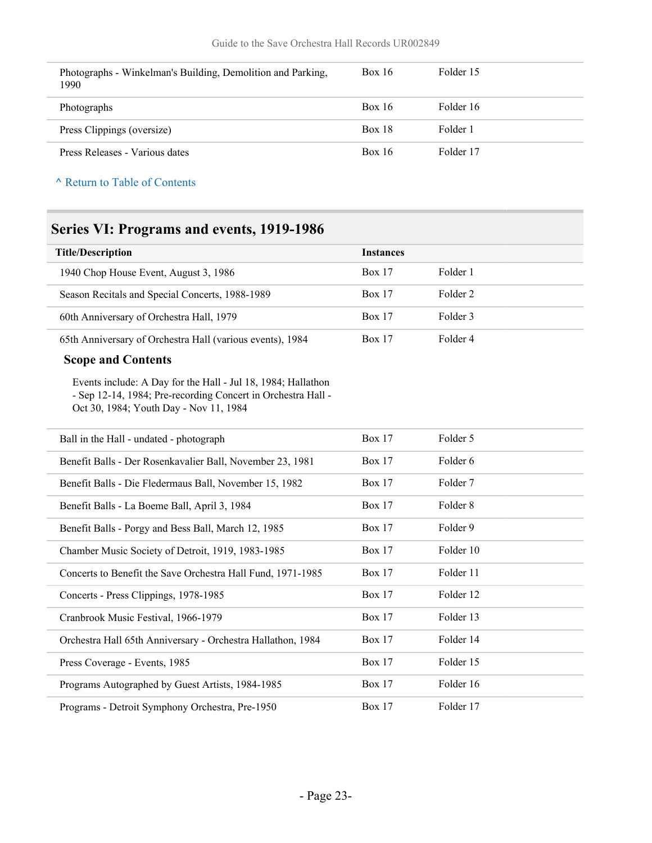| Photographs - Winkelman's Building, Demolition and Parking,<br>1990 | <b>Box 16</b> | Folder 15 |
|---------------------------------------------------------------------|---------------|-----------|
| Photographs                                                         | <b>Box 16</b> | Folder 16 |
| Press Clippings (oversize)                                          | <b>Box 18</b> | Folder 1  |
| Press Releases - Various dates                                      | <b>Box 16</b> | Folder 17 |

## <span id="page-22-0"></span>**Series VI: Programs and events, 1919-1986**

| <b>Title/Description</b>                                                                                                                                               | <b>Instances</b> |                     |  |
|------------------------------------------------------------------------------------------------------------------------------------------------------------------------|------------------|---------------------|--|
| 1940 Chop House Event, August 3, 1986                                                                                                                                  | Box 17           | Folder 1            |  |
| Season Recitals and Special Concerts, 1988-1989                                                                                                                        | Box 17           | Folder <sub>2</sub> |  |
| 60th Anniversary of Orchestra Hall, 1979                                                                                                                               | Box 17           | Folder 3            |  |
| 65th Anniversary of Orchestra Hall (various events), 1984                                                                                                              | <b>Box 17</b>    | Folder 4            |  |
| <b>Scope and Contents</b>                                                                                                                                              |                  |                     |  |
| Events include: A Day for the Hall - Jul 18, 1984; Hallathon<br>- Sep 12-14, 1984; Pre-recording Concert in Orchestra Hall -<br>Oct 30, 1984; Youth Day - Nov 11, 1984 |                  |                     |  |
| Ball in the Hall - undated - photograph                                                                                                                                | <b>Box 17</b>    | Folder 5            |  |
| Benefit Balls - Der Rosenkavalier Ball, November 23, 1981                                                                                                              | Box 17           | Folder 6            |  |
| Benefit Balls - Die Fledermaus Ball, November 15, 1982                                                                                                                 | Box 17           | Folder 7            |  |
| Benefit Balls - La Boeme Ball, April 3, 1984                                                                                                                           | <b>Box 17</b>    | Folder 8            |  |
| Benefit Balls - Porgy and Bess Ball, March 12, 1985                                                                                                                    | <b>Box 17</b>    | Folder 9            |  |
| Chamber Music Society of Detroit, 1919, 1983-1985                                                                                                                      | Box 17           | Folder 10           |  |
| Concerts to Benefit the Save Orchestra Hall Fund, 1971-1985                                                                                                            | <b>Box 17</b>    | Folder 11           |  |
| Concerts - Press Clippings, 1978-1985                                                                                                                                  | Box 17           | Folder 12           |  |
| Cranbrook Music Festival, 1966-1979                                                                                                                                    | <b>Box 17</b>    | Folder 13           |  |
| Orchestra Hall 65th Anniversary - Orchestra Hallathon, 1984                                                                                                            | <b>Box 17</b>    | Folder 14           |  |
| Press Coverage - Events, 1985                                                                                                                                          | <b>Box 17</b>    | Folder 15           |  |
| Programs Autographed by Guest Artists, 1984-1985                                                                                                                       | Box 17           | Folder 16           |  |
| Programs - Detroit Symphony Orchestra, Pre-1950                                                                                                                        | <b>Box 17</b>    | Folder 17           |  |